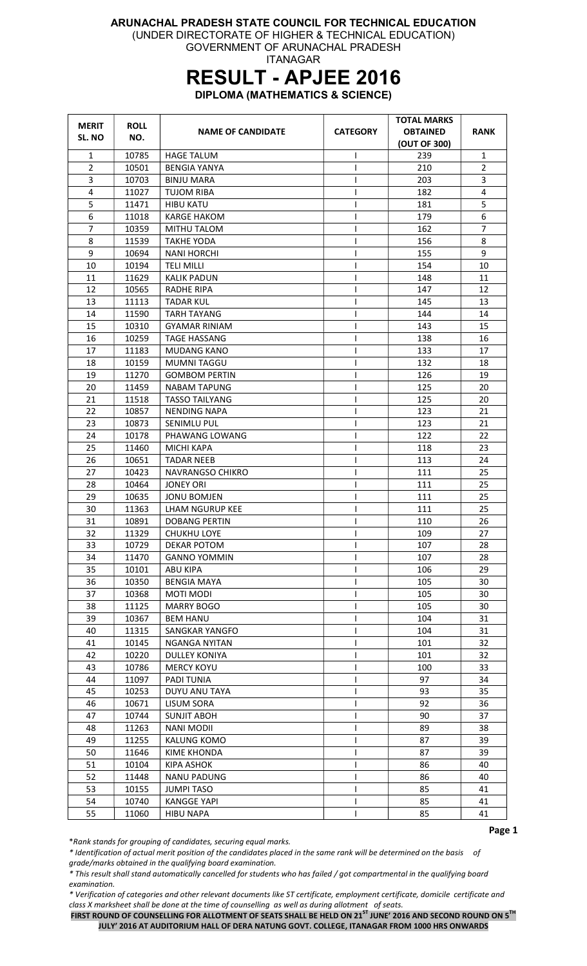#### ARUNACHAL PRADESH STATE COUNCIL FOR TECHNICAL EDUCATION (UNDER DIRECTORATE OF HIGHER & TECHNICAL EDUCATION)

GOVERNMENT OF ARUNACHAL PRADESH ITANAGAR

# RESULT - APJEE 2016

DIPLOMA (MATHEMATICS & SCIENCE)

| <b>MERIT</b>   | <b>ROLL</b> |                          |                 | <b>TOTAL MARKS</b> |                |
|----------------|-------------|--------------------------|-----------------|--------------------|----------------|
| SL. NO         | NO.         | <b>NAME OF CANDIDATE</b> | <b>CATEGORY</b> | <b>OBTAINED</b>    | <b>RANK</b>    |
|                |             |                          |                 | (OUT OF 300)       |                |
| $\mathbf{1}$   | 10785       | <b>HAGE TALUM</b>        | L               | 239                | 1              |
| $\overline{2}$ | 10501       | <b>BENGIA YANYA</b>      | I               | 210                | $\overline{2}$ |
| 3              | 10703       | <b>BINJU MARA</b>        |                 | 203                | 3              |
| 4              | 11027       | <b>TUJOM RIBA</b>        |                 | 182                | 4              |
| 5              | 11471       | <b>HIBU KATU</b>         |                 | 181                | 5              |
| 6              | 11018       | KARGE HAKOM              |                 | 179                | 6              |
| 7              | 10359       | MITHU TALOM              |                 | 162                | $\overline{7}$ |
| 8              | 11539       | <b>TAKHE YODA</b>        |                 | 156                | 8              |
| 9              | 10694       | <b>NANI HORCHI</b>       |                 | 155                | 9              |
| 10             | 10194       | <b>TELI MILLI</b>        |                 | 154                | 10             |
| 11             | 11629       | <b>KALIK PADUN</b>       | L               | 148                | 11             |
| 12             | 10565       | <b>RADHE RIPA</b>        | I               | 147                | 12             |
| 13             | 11113       | <b>TADAR KUL</b>         |                 | 145                | 13             |
| 14             | 11590       | <b>TARH TAYANG</b>       |                 | 144                | 14             |
| 15             | 10310       | <b>GYAMAR RINIAM</b>     |                 | 143                | 15             |
| 16             | 10259       | <b>TAGE HASSANG</b>      |                 | 138                | 16             |
| 17             | 11183       | <b>MUDANG KANO</b>       |                 | 133                | 17             |
| 18             | 10159       | <b>MUMNI TAGGU</b>       |                 | 132                | 18             |
| 19             | 11270       | <b>GOMBOM PERTIN</b>     |                 | 126                | 19             |
| 20             | 11459       | <b>NABAM TAPUNG</b>      |                 | 125                | 20             |
| 21             | 11518       | <b>TASSO TAILYANG</b>    | L               | 125                | 20             |
| 22             | 10857       | <b>NENDING NAPA</b>      |                 | 123                | 21             |
| 23             | 10873       | <b>SENIMLU PUL</b>       |                 | 123                | 21             |
| 24             | 10178       | PHAWANG LOWANG           |                 | 122                | 22             |
| 25             | 11460       | <b>MICHI KAPA</b>        |                 | 118                | 23             |
| 26             | 10651       | <b>TADAR NEEB</b>        |                 | 113                | 24             |
| 27             | 10423       | <b>NAVRANGSO CHIKRO</b>  | L               | 111                | 25             |
| 28             | 10464       | <b>JONEY ORI</b>         |                 | 111                | 25             |
| 29             | 10635       | <b>JONU BOMJEN</b>       | L               | 111                | 25             |
| 30             | 11363       | LHAM NGURUP KEE          |                 | 111                | 25             |
| 31             | 10891       | <b>DOBANG PERTIN</b>     |                 | 110                | 26             |
| 32             | 11329       | <b>CHUKHU LOYE</b>       |                 | 109                | 27             |
| 33             | 10729       | <b>DEKAR POTOM</b>       | L               | 107                | 28             |
| 34             | 11470       | <b>GANNO YOMMIN</b>      |                 | 107                | 28             |
| 35             | 10101       | <b>ABU KIPA</b>          |                 | 106                | 29             |
| 36             | 10350       | <b>BENGIA MAYA</b>       |                 | 105                | 30             |
| 37             | 10368       | MOTI MODI                |                 | 105                | 30             |
| 38             | 11125       | <b>MARRY BOGO</b>        |                 | 105                | 30             |
| 39             | 10367       | <b>BEM HANU</b>          |                 | 104                | 31             |
| 40             | 11315       | SANGKAR YANGFO           |                 | 104                | 31             |
| 41             | 10145       | <b>NGANGA NYITAN</b>     |                 | 101                | 32             |
| 42             | 10220       | <b>DULLEY KONIYA</b>     |                 | 101                | 32             |
| 43             | 10786       | <b>MERCY KOYU</b>        |                 | 100                | 33             |
| 44             | 11097       | PADI TUNIA               | L               | 97                 | 34             |
| 45             | 10253       | DUYU ANU TAYA            | L               | 93                 | 35             |
| 46             | 10671       | LISUM SORA               | I               | 92                 | 36             |
| 47             | 10744       | <b>SUNJIT ABOH</b>       | L               | 90                 | 37             |
| 48             | 11263       | <b>NANI MODII</b>        |                 | 89                 | 38             |
| 49             |             |                          |                 | 87                 | 39             |
|                | 11255       | KALUNG KOMO              |                 |                    |                |
| 50             | 11646       | KIME KHONDA              |                 | 87                 | 39             |
| 51             | 10104       | KIPA ASHOK               | I               | 86                 | 40             |
| 52             | 11448       | <b>NANU PADUNG</b>       | L               | 86                 | 40             |
| 53             | 10155       | <b>JUMPI TASO</b>        | L               | 85                 | 41             |
| 54             | 10740       | <b>KANGGE YAPI</b>       | L               | 85                 | 41             |
| 55             | 11060       | <b>HIBU NAPA</b>         |                 | 85                 | 41             |

\*Rank stands for grouping of candidates, securing equal marks.

\* Identification of actual merit position of the candidates placed in the same rank will be determined on the basis of grade/marks obtained in the qualifying board examination.

\* This result shall stand automatically cancelled for students who has failed / got compartmental in the qualifying board examination.

\* Verification of categories and other relevant documents like ST certificate, employment certificate, domicile certificate and class X marksheet shall be done at the time of counselling as well as during allotment of seats.

FIRST ROUND OF COUNSELLING FOR ALLOTMENT OF SEATS SHALL BE HELD ON 21<sup>ST</sup> JUNE' 2016 AND SECOND ROUND ON 5<sup>TH</sup> JULY' 2016 AT AUDITORIUM HALL OF DERA NATUNG GOVT. COLLEGE, ITANAGAR FROM 1000 HRS ONWARDS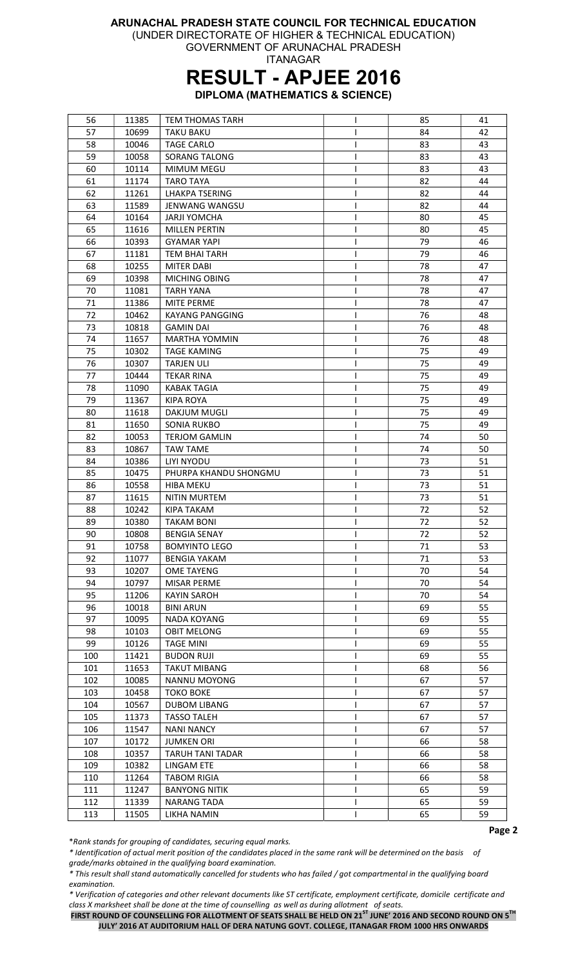(UNDER DIRECTORATE OF HIGHER & TECHNICAL EDUCATION)

GOVERNMENT OF ARUNACHAL PRADESH ITANAGAR

## RESULT - APJEE 2016

DIPLOMA (MATHEMATICS & SCIENCE)

| 56  | 11385 | <b>TEM THOMAS TARH</b>  | L | 85 | 41 |
|-----|-------|-------------------------|---|----|----|
| 57  | 10699 | <b>TAKU BAKU</b>        |   | 84 | 42 |
| 58  | 10046 | <b>TAGE CARLO</b>       |   | 83 | 43 |
| 59  | 10058 | SORANG TALONG           | L | 83 | 43 |
| 60  | 10114 | <b>MIMUM MEGU</b>       | I | 83 | 43 |
| 61  | 11174 | <b>TARO TAYA</b>        | I | 82 | 44 |
| 62  | 11261 | <b>LHAKPA TSERING</b>   | I | 82 | 44 |
| 63  | 11589 | <b>JENWANG WANGSU</b>   | ı | 82 | 44 |
| 64  | 10164 | <b>JARJI YOMCHA</b>     |   | 80 | 45 |
| 65  | 11616 | <b>MILLEN PERTIN</b>    |   | 80 | 45 |
| 66  | 10393 | <b>GYAMAR YAPI</b>      | I | 79 | 46 |
| 67  | 11181 | <b>TEM BHAI TARH</b>    | I | 79 | 46 |
| 68  | 10255 | <b>MITER DABI</b>       | I | 78 | 47 |
| 69  | 10398 | MICHING OBING           | I | 78 | 47 |
|     |       |                         |   |    |    |
| 70  | 11081 | <b>TARH YANA</b>        | I | 78 | 47 |
| 71  | 11386 | <b>MITE PERME</b>       | ı | 78 | 47 |
| 72  | 10462 | KAYANG PANGGING         |   | 76 | 48 |
| 73  | 10818 | <b>GAMIN DAI</b>        |   | 76 | 48 |
| 74  | 11657 | <b>MARTHA YOMMIN</b>    | ı | 76 | 48 |
| 75  | 10302 | <b>TAGE KAMING</b>      | I | 75 | 49 |
| 76  | 10307 | <b>TARJEN ULI</b>       | I | 75 | 49 |
| 77  | 10444 | <b>TEKAR RINA</b>       | L | 75 | 49 |
| 78  | 11090 | <b>KABAK TAGIA</b>      | I | 75 | 49 |
| 79  | 11367 | <b>KIPA ROYA</b>        | I | 75 | 49 |
| 80  | 11618 | DAKJUM MUGLI            | ı | 75 | 49 |
| 81  | 11650 | <b>SONIA RUKBO</b>      |   | 75 | 49 |
| 82  | 10053 | <b>TERJOM GAMLIN</b>    |   | 74 | 50 |
| 83  | 10867 | <b>TAW TAME</b>         |   | 74 | 50 |
| 84  | 10386 | LIYI NYODU              | ı | 73 | 51 |
| 85  | 10475 | PHURPA KHANDU SHONGMU   | I | 73 | 51 |
| 86  | 10558 | <b>HIBA MEKU</b>        | ı | 73 | 51 |
| 87  | 11615 | <b>NITIN MURTEM</b>     | L | 73 | 51 |
| 88  | 10242 | <b>KIPA TAKAM</b>       | ı | 72 | 52 |
| 89  | 10380 | <b>TAKAM BONI</b>       |   | 72 | 52 |
| 90  | 10808 | <b>BENGIA SENAY</b>     | T | 72 | 52 |
| 91  | 10758 | <b>BOMYINTO LEGO</b>    | L | 71 | 53 |
| 92  | 11077 | <b>BENGIA YAKAM</b>     | ı | 71 | 53 |
| 93  | 10207 | <b>OME TAYENG</b>       | I | 70 | 54 |
| 94  | 10797 | MISAR PERME             | I | 70 | 54 |
| 95  | 11206 | <b>KAYIN SAROH</b>      | L | 70 | 54 |
| 96  | 10018 | <b>BINI ARUN</b>        | L | 69 | 55 |
| 97  | 10095 | NADA KOYANG             |   | 69 | 55 |
| 98  | 10103 |                         |   | 69 | 55 |
|     |       | <b>OBIT MELONG</b>      |   |    |    |
| 99  | 10126 | <b>TAGE MINI</b>        |   | 69 | 55 |
| 100 | 11421 | <b>BUDON RUJI</b>       |   | 69 | 55 |
| 101 | 11653 | <b>TAKUT MIBANG</b>     |   | 68 | 56 |
| 102 | 10085 | NANNU MOYONG            | L | 67 | 57 |
| 103 | 10458 | <b>TOKO BOKE</b>        |   | 67 | 57 |
| 104 | 10567 | <b>DUBOM LIBANG</b>     |   | 67 | 57 |
| 105 | 11373 | <b>TASSO TALEH</b>      |   | 67 | 57 |
| 106 | 11547 | <b>NANI NANCY</b>       |   | 67 | 57 |
| 107 | 10172 | <b>JUMKEN ORI</b>       |   | 66 | 58 |
| 108 | 10357 | <b>TARUH TANI TADAR</b> | L | 66 | 58 |
| 109 | 10382 | LINGAM ETE              | I | 66 | 58 |
| 110 | 11264 | <b>TABOM RIGIA</b>      | L | 66 | 58 |
| 111 | 11247 | <b>BANYONG NITIK</b>    | L | 65 | 59 |
| 112 | 11339 | <b>NARANG TADA</b>      | L | 65 | 59 |
| 113 | 11505 | LIKHA NAMIN             |   | 65 | 59 |

\*Rank stands for grouping of candidates, securing equal marks.

\* Identification of actual merit position of the candidates placed in the same rank will be determined on the basis of grade/marks obtained in the qualifying board examination.

\* This result shall stand automatically cancelled for students who has failed / got compartmental in the qualifying board examination.

\* Verification of categories and other relevant documents like ST certificate, employment certificate, domicile certificate and class X marksheet shall be done at the time of counselling as well as during allotment of seats.

FIRST ROUND OF COUNSELLING FOR ALLOTMENT OF SEATS SHALL BE HELD ON 21<sup>ST</sup> JUNE' 2016 AND SECOND ROUND ON 5<sup>TH</sup> JULY' 2016 AT AUDITORIUM HALL OF DERA NATUNG GOVT. COLLEGE, ITANAGAR FROM 1000 HRS ONWARDS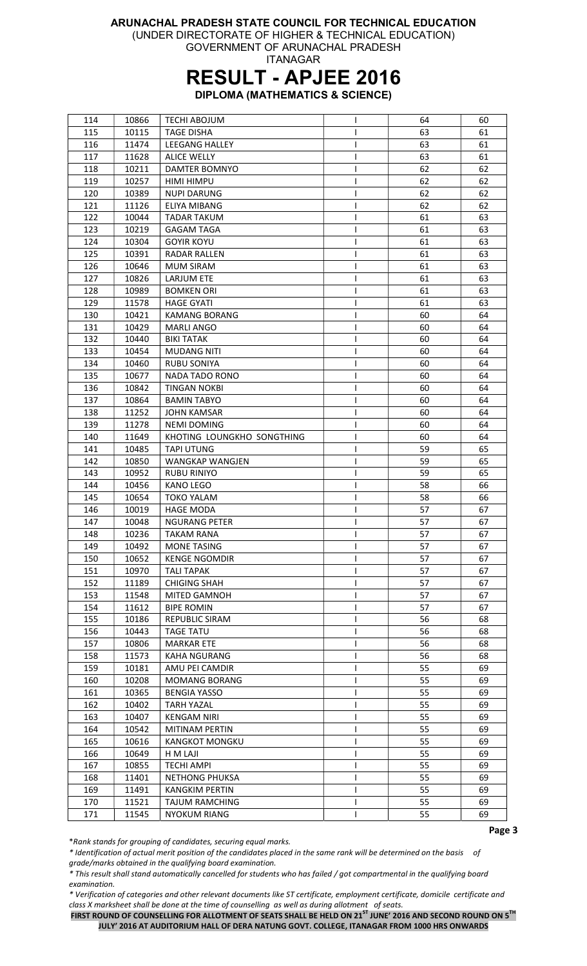(UNDER DIRECTORATE OF HIGHER & TECHNICAL EDUCATION)

GOVERNMENT OF ARUNACHAL PRADESH ITANAGAR

## RESULT - APJEE 2016

DIPLOMA (MATHEMATICS & SCIENCE)

| 114 | 10866 | <b>TECHI ABOJUM</b>        | I | 64 | 60 |
|-----|-------|----------------------------|---|----|----|
| 115 | 10115 | <b>TAGE DISHA</b>          |   | 63 | 61 |
| 116 | 11474 | LEEGANG HALLEY             |   | 63 | 61 |
| 117 | 11628 | <b>ALICE WELLY</b>         | I | 63 | 61 |
| 118 | 10211 | DAMTER BOMNYO              |   | 62 | 62 |
| 119 | 10257 | HIMI HIMPU                 | L | 62 | 62 |
| 120 | 10389 | <b>NUPI DARUNG</b>         | ı | 62 | 62 |
| 121 | 11126 | <b>ELIYA MIBANG</b>        | ı | 62 | 62 |
| 122 | 10044 | <b>TADAR TAKUM</b>         |   | 61 | 63 |
| 123 | 10219 | <b>GAGAM TAGA</b>          | I | 61 | 63 |
| 124 | 10304 | <b>GOYIR KOYU</b>          | I | 61 | 63 |
| 125 | 10391 | <b>RADAR RALLEN</b>        | I | 61 | 63 |
| 126 | 10646 | <b>MUM SIRAM</b>           | L | 61 | 63 |
| 127 | 10826 | LARJUM ETE                 | L | 61 | 63 |
| 128 | 10989 | <b>BOMKEN ORI</b>          | I | 61 | 63 |
| 129 | 11578 | <b>HAGE GYATI</b>          |   | 61 | 63 |
| 130 | 10421 | <b>KAMANG BORANG</b>       |   | 60 | 64 |
| 131 | 10429 | <b>MARLI ANGO</b>          |   | 60 | 64 |
|     |       |                            |   |    |    |
| 132 | 10440 | <b>BIKI TATAK</b>          |   | 60 | 64 |
| 133 | 10454 | <b>MUDANG NITI</b>         | I | 60 | 64 |
| 134 | 10460 | <b>RUBU SONIYA</b>         | I | 60 | 64 |
| 135 | 10677 | <b>NADA TADO RONO</b>      | I | 60 | 64 |
| 136 | 10842 | <b>TINGAN NOKBI</b>        | L | 60 | 64 |
| 137 | 10864 | <b>BAMIN TABYO</b>         |   | 60 | 64 |
| 138 | 11252 | <b>JOHN KAMSAR</b>         |   | 60 | 64 |
| 139 | 11278 | <b>NEMI DOMING</b>         |   | 60 | 64 |
| 140 | 11649 | KHOTING LOUNGKHO SONGTHING | I | 60 | 64 |
| 141 | 10485 | <b>TAPI UTUNG</b>          | I | 59 | 65 |
| 142 | 10850 | WANGKAP WANGJEN            | L | 59 | 65 |
| 143 | 10952 | <b>RUBU RINIYO</b>         | L | 59 | 65 |
| 144 | 10456 | <b>KANO LEGO</b>           | L | 58 | 66 |
| 145 | 10654 | <b>TOKO YALAM</b>          |   | 58 | 66 |
| 146 | 10019 | <b>HAGE MODA</b>           |   | 57 | 67 |
| 147 | 10048 | <b>NGURANG PETER</b>       |   | 57 | 67 |
| 148 | 10236 | TAKAM RANA                 |   | 57 | 67 |
| 149 | 10492 | <b>MONE TASING</b>         |   | 57 | 67 |
| 150 | 10652 | <b>KENGE NGOMDIR</b>       |   | 57 | 67 |
| 151 | 10970 | <b>TALI TAPAK</b>          | L | 57 | 67 |
| 152 | 11189 | <b>CHIGING SHAH</b>        |   | 57 | 67 |
| 153 | 11548 | MITED GAMNOH               | L | 57 | 67 |
| 154 | 11612 | <b>BIPE ROMIN</b>          | I | 57 | 67 |
| 155 | 10186 | <b>REPUBLIC SIRAM</b>      |   | 56 | 68 |
| 156 | 10443 | <b>TAGE TATU</b>           |   | 56 | 68 |
| 157 | 10806 | <b>MARKAR ETE</b>          |   | 56 | 68 |
| 158 | 11573 | <b>KAHA NGURANG</b>        |   | 56 | 68 |
| 159 | 10181 | AMU PEI CAMDIR             | ı | 55 | 69 |
| 160 | 10208 | <b>MOMANG BORANG</b>       | I | 55 | 69 |
| 161 | 10365 | <b>BENGIA YASSO</b>        | I | 55 | 69 |
| 162 | 10402 | <b>TARH YAZAL</b>          |   | 55 | 69 |
| 163 | 10407 | <b>KENGAM NIRI</b>         |   | 55 | 69 |
| 164 | 10542 | MITINAM PERTIN             |   | 55 | 69 |
| 165 | 10616 | <b>KANGKOT MONGKU</b>      |   | 55 | 69 |
| 166 | 10649 | H M LAJI                   |   | 55 | 69 |
| 167 | 10855 | <b>TECHI AMPI</b>          |   | 55 | 69 |
| 168 | 11401 | <b>NETHONG PHUKSA</b>      | L | 55 | 69 |
| 169 | 11491 | <b>KANGKIM PERTIN</b>      | L | 55 | 69 |
| 170 | 11521 | <b>TAJUM RAMCHING</b>      | L | 55 | 69 |
|     |       |                            | T |    |    |
| 171 | 11545 | <b>NYOKUM RIANG</b>        |   | 55 | 69 |

\*Rank stands for grouping of candidates, securing equal marks.

\* Identification of actual merit position of the candidates placed in the same rank will be determined on the basis of grade/marks obtained in the qualifying board examination.

\* This result shall stand automatically cancelled for students who has failed / got compartmental in the qualifying board examination.

\* Verification of categories and other relevant documents like ST certificate, employment certificate, domicile certificate and class X marksheet shall be done at the time of counselling as well as during allotment of seats.

FIRST ROUND OF COUNSELLING FOR ALLOTMENT OF SEATS SHALL BE HELD ON 21<sup>ST</sup> JUNE' 2016 AND SECOND ROUND ON 5<sup>TH</sup> JULY' 2016 AT AUDITORIUM HALL OF DERA NATUNG GOVT. COLLEGE, ITANAGAR FROM 1000 HRS ONWARDS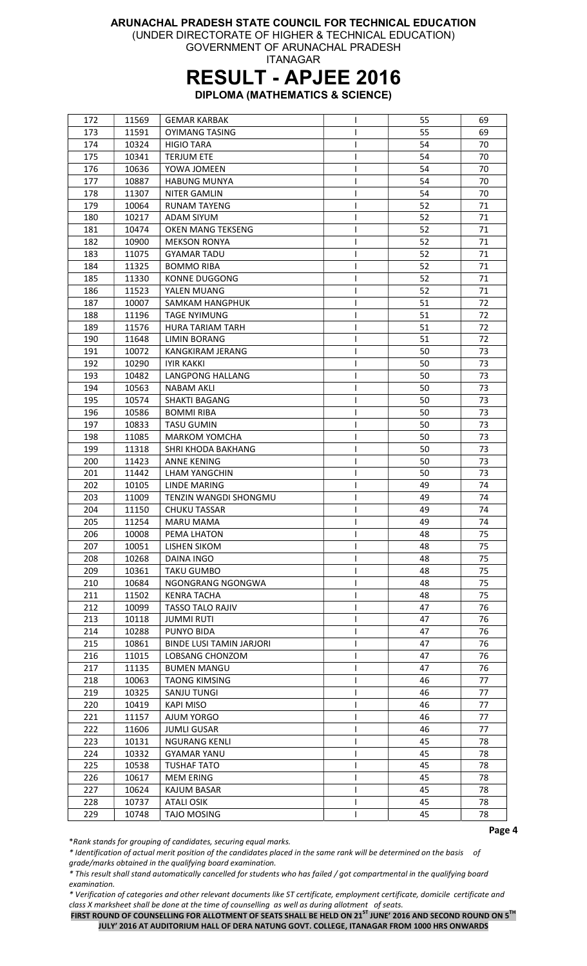(UNDER DIRECTORATE OF HIGHER & TECHNICAL EDUCATION)

GOVERNMENT OF ARUNACHAL PRADESH ITANAGAR

### RESULT - APJEE 2016

DIPLOMA (MATHEMATICS & SCIENCE)

| 172 | 11569 | <b>GEMAR KARBAK</b>             | L | 55 | 69 |
|-----|-------|---------------------------------|---|----|----|
| 173 | 11591 | <b>OYIMANG TASING</b>           |   | 55 | 69 |
| 174 | 10324 | <b>HIGIO TARA</b>               |   | 54 | 70 |
| 175 | 10341 | <b>TERJUM ETE</b>               | L | 54 | 70 |
| 176 | 10636 | YOWA JOMEEN                     | I | 54 | 70 |
| 177 | 10887 | <b>HABUNG MUNYA</b>             | I | 54 | 70 |
| 178 | 11307 | <b>NITER GAMLIN</b>             |   | 54 | 70 |
| 179 | 10064 | <b>RUNAM TAYENG</b>             |   | 52 | 71 |
| 180 | 10217 | ADAM SIYUM                      |   | 52 | 71 |
| 181 | 10474 | OKEN MANG TEKSENG               |   | 52 | 71 |
| 182 | 10900 | <b>MEKSON RONYA</b>             | I | 52 | 71 |
| 183 | 11075 | <b>GYAMAR TADU</b>              | I | 52 | 71 |
| 184 | 11325 | <b>BOMMO RIBA</b>               | L | 52 | 71 |
| 185 | 11330 | <b>KONNE DUGGONG</b>            | ı | 52 | 71 |
|     |       |                                 |   |    |    |
| 186 | 11523 | YALEN MUANG                     | I | 52 | 71 |
| 187 | 10007 | SAMKAM HANGPHUK                 |   | 51 | 72 |
| 188 | 11196 | <b>TAGE NYIMUNG</b>             |   | 51 | 72 |
| 189 | 11576 | <b>HURA TARIAM TARH</b>         |   | 51 | 72 |
| 190 | 11648 | <b>LIMIN BORANG</b>             |   | 51 | 72 |
| 191 | 10072 | KANGKIRAM JERANG                | ı | 50 | 73 |
| 192 | 10290 | <b>IYIR KAKKI</b>               | I | 50 | 73 |
| 193 | 10482 | LANGPONG HALLANG                | I | 50 | 73 |
| 194 | 10563 | <b>NABAM AKLI</b>               | I | 50 | 73 |
| 195 | 10574 | <b>SHAKTI BAGANG</b>            |   | 50 | 73 |
| 196 | 10586 | <b>BOMMI RIBA</b>               |   | 50 | 73 |
| 197 | 10833 | <b>TASU GUMIN</b>               |   | 50 | 73 |
| 198 | 11085 | <b>MARKOM YOMCHA</b>            |   | 50 | 73 |
| 199 | 11318 | SHRI KHODA BAKHANG              |   | 50 | 73 |
| 200 | 11423 | <b>ANNE KENING</b>              |   | 50 | 73 |
| 201 | 11442 | LHAM YANGCHIN                   |   | 50 | 73 |
| 202 | 10105 | <b>LINDE MARING</b>             |   | 49 | 74 |
| 203 | 11009 | TENZIN WANGDI SHONGMU           |   | 49 | 74 |
| 204 | 11150 | <b>CHUKU TASSAR</b>             |   | 49 | 74 |
| 205 | 11254 | <b>MARU MAMA</b>                |   | 49 | 74 |
| 206 | 10008 | PEMA LHATON                     | L | 48 | 75 |
| 207 | 10051 | LISHEN SIKOM                    | L | 48 | 75 |
| 208 | 10268 | DAINA INGO                      |   | 48 | 75 |
| 209 | 10361 | <b>TAKU GUMBO</b>               | I | 48 | 75 |
| 210 | 10684 | NGONGRANG NGONGWA               | L | 48 | 75 |
| 211 | 11502 | <b>KENRA TACHA</b>              | I | 48 | 75 |
| 212 | 10099 | <b>TASSO TALO RAJIV</b>         | I | 47 | 76 |
| 213 | 10118 | <b>JUMMI RUTI</b>               | ı | 47 | 76 |
|     |       |                                 |   | 47 | 76 |
| 214 | 10288 | PUNYO BIDA                      |   | 47 |    |
| 215 | 10861 | <b>BINDE LUSI TAMIN JARJORI</b> |   |    | 76 |
| 216 | 11015 | LOBSANG CHONZOM                 |   | 47 | 76 |
| 217 | 11135 | <b>BUMEN MANGU</b>              |   | 47 | 76 |
| 218 | 10063 | <b>TAONG KIMSING</b>            |   | 46 | 77 |
| 219 | 10325 | SANJU TUNGI                     |   | 46 | 77 |
| 220 | 10419 | KAPI MISO                       |   | 46 | 77 |
| 221 | 11157 | AJUM YORGO                      |   | 46 | 77 |
| 222 | 11606 | <b>JUMLI GUSAR</b>              |   | 46 | 77 |
| 223 | 10131 | <b>NGURANG KENLI</b>            |   | 45 | 78 |
| 224 | 10332 | GYAMAR YANU                     |   | 45 | 78 |
| 225 | 10538 | <b>TUSHAF TATO</b>              | I | 45 | 78 |
| 226 | 10617 | <b>MEM ERING</b>                | I | 45 | 78 |
| 227 | 10624 | KAJUM BASAR                     | L | 45 | 78 |
| 228 | 10737 | <b>ATALI OSIK</b>               | L | 45 | 78 |
| 229 | 10748 | <b>TAJO MOSING</b>              |   | 45 | 78 |

\*Rank stands for grouping of candidates, securing equal marks.

\* Identification of actual merit position of the candidates placed in the same rank will be determined on the basis of grade/marks obtained in the qualifying board examination.

\* This result shall stand automatically cancelled for students who has failed / got compartmental in the qualifying board examination.

\* Verification of categories and other relevant documents like ST certificate, employment certificate, domicile certificate and class X marksheet shall be done at the time of counselling as well as during allotment of seats.

FIRST ROUND OF COUNSELLING FOR ALLOTMENT OF SEATS SHALL BE HELD ON 21<sup>ST</sup> JUNE' 2016 AND SECOND ROUND ON 5<sup>TH</sup> JULY' 2016 AT AUDITORIUM HALL OF DERA NATUNG GOVT. COLLEGE, ITANAGAR FROM 1000 HRS ONWARDS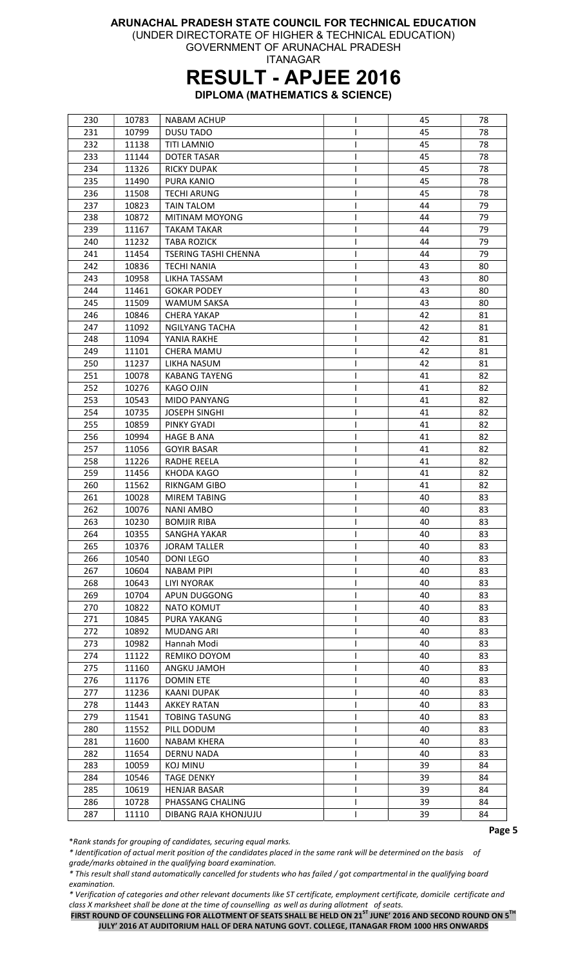(UNDER DIRECTORATE OF HIGHER & TECHNICAL EDUCATION)

GOVERNMENT OF ARUNACHAL PRADESH ITANAGAR

### RESULT - APJEE 2016

DIPLOMA (MATHEMATICS & SCIENCE)

| 230 | 10783 | <b>NABAM ACHUP</b>    | I  | 45 | 78 |
|-----|-------|-----------------------|----|----|----|
| 231 | 10799 | <b>DUSU TADO</b>      |    | 45 | 78 |
| 232 | 11138 | <b>TITI LAMNIO</b>    | T  | 45 | 78 |
| 233 | 11144 | <b>DOTER TASAR</b>    | I  | 45 | 78 |
| 234 | 11326 | <b>RICKY DUPAK</b>    | ı  | 45 | 78 |
| 235 | 11490 | <b>PURA KANIO</b>     | T  | 45 | 78 |
| 236 | 11508 | <b>TECHI ARUNG</b>    | L  | 45 | 78 |
| 237 | 10823 | <b>TAIN TALOM</b>     |    | 44 | 79 |
| 238 | 10872 | MITINAM MOYONG        | I  | 44 | 79 |
| 239 | 11167 | TAKAM TAKAR           |    | 44 | 79 |
| 240 | 11232 | <b>TABA ROZICK</b>    |    | 44 | 79 |
| 241 | 11454 | TSERING TASHI CHENNA  |    | 44 | 79 |
| 242 | 10836 | <b>TECHI NANIA</b>    | I  | 43 | 80 |
| 243 | 10958 | LIKHA TASSAM          | L  | 43 | 80 |
| 244 | 11461 | <b>GOKAR PODEY</b>    | I  | 43 | 80 |
| 245 | 11509 | <b>WAMUM SAKSA</b>    | T  | 43 | 80 |
| 246 | 10846 | <b>CHERA YAKAP</b>    | T  | 42 | 81 |
| 247 | 11092 | <b>NGILYANG TACHA</b> | ı  | 42 | 81 |
| 248 | 11094 | YANIA RAKHE           |    | 42 | 81 |
| 249 | 11101 | <b>CHERA MAMU</b>     | ı  | 42 | 81 |
| 250 | 11237 | LIKHA NASUM           | L  | 42 | 81 |
| 251 | 10078 | <b>KABANG TAYENG</b>  | L  | 41 | 82 |
| 252 |       | <b>KAGO OJIN</b>      | L  | 41 | 82 |
|     | 10276 |                       |    |    |    |
| 253 | 10543 | <b>MIDO PANYANG</b>   | T  | 41 | 82 |
| 254 | 10735 | <b>JOSEPH SINGHI</b>  |    | 41 | 82 |
| 255 | 10859 | PINKY GYADI           |    | 41 | 82 |
| 256 | 10994 | <b>HAGE B ANA</b>     |    | 41 | 82 |
| 257 | 11056 | <b>GOYIR BASAR</b>    |    | 41 | 82 |
| 258 | 11226 | RADHE REELA           | I. | 41 | 82 |
| 259 | 11456 | KHODA KAGO            | I  | 41 | 82 |
| 260 | 11562 | RIKNGAM GIBO          |    | 41 | 82 |
| 261 | 10028 | <b>MIREM TABING</b>   | L  | 40 | 83 |
| 262 | 10076 | NANI AMBO             | T  | 40 | 83 |
| 263 | 10230 | <b>BOMJIR RIBA</b>    | L  | 40 | 83 |
| 264 | 10355 | <b>SANGHA YAKAR</b>   | L  | 40 | 83 |
| 265 | 10376 | <b>JORAM TALLER</b>   | T  | 40 | 83 |
| 266 | 10540 | <b>DONI LEGO</b>      | I  | 40 | 83 |
| 267 | 10604 | NABAM PIPI            | L  | 40 | 83 |
| 268 | 10643 | <b>LIYI NYORAK</b>    | T  | 40 | 83 |
| 269 | 10704 | APUN DUGGONG          | L  | 40 | 83 |
| 270 | 10822 | <b>NATO KOMUT</b>     | T  | 40 | 83 |
| 271 | 10845 | PURA YAKANG           | L  | 40 | 83 |
| 272 | 10892 | <b>MUDANG ARI</b>     |    | 40 | 83 |
| 273 | 10982 | Hannah Modi           |    | 40 | 83 |
| 274 | 11122 | REMIKO DOYOM          |    | 40 | 83 |
| 275 | 11160 | ANGKU JAMOH           |    | 40 | 83 |
| 276 | 11176 | <b>DOMIN ETE</b>      | L  | 40 | 83 |
| 277 | 11236 | <b>KAANI DUPAK</b>    | I  | 40 | 83 |
| 278 | 11443 | <b>AKKEY RATAN</b>    | I  | 40 | 83 |
| 279 | 11541 | <b>TOBING TASUNG</b>  | L  | 40 | 83 |
| 280 | 11552 | PILL DODUM            | ı  | 40 | 83 |
| 281 | 11600 | NABAM KHERA           |    | 40 | 83 |
| 282 | 11654 | <b>DERNU NADA</b>     |    | 40 | 83 |
| 283 | 10059 | <b>KOJ MINU</b>       | L  | 39 | 84 |
| 284 | 10546 | <b>TAGE DENKY</b>     | I  | 39 | 84 |
| 285 | 10619 | <b>HENJAR BASAR</b>   | I  | 39 | 84 |
| 286 | 10728 | PHASSANG CHALING      | L  | 39 | 84 |
| 287 | 11110 | DIBANG RAJA KHONJUJU  | T  | 39 | 84 |

\*Rank stands for grouping of candidates, securing equal marks.

\* Identification of actual merit position of the candidates placed in the same rank will be determined on the basis of grade/marks obtained in the qualifying board examination.

\* This result shall stand automatically cancelled for students who has failed / got compartmental in the qualifying board examination.

\* Verification of categories and other relevant documents like ST certificate, employment certificate, domicile certificate and class X marksheet shall be done at the time of counselling as well as during allotment of seats.

FIRST ROUND OF COUNSELLING FOR ALLOTMENT OF SEATS SHALL BE HELD ON 21<sup>ST</sup> JUNE' 2016 AND SECOND ROUND ON 5<sup>TH</sup> JULY' 2016 AT AUDITORIUM HALL OF DERA NATUNG GOVT. COLLEGE, ITANAGAR FROM 1000 HRS ONWARDS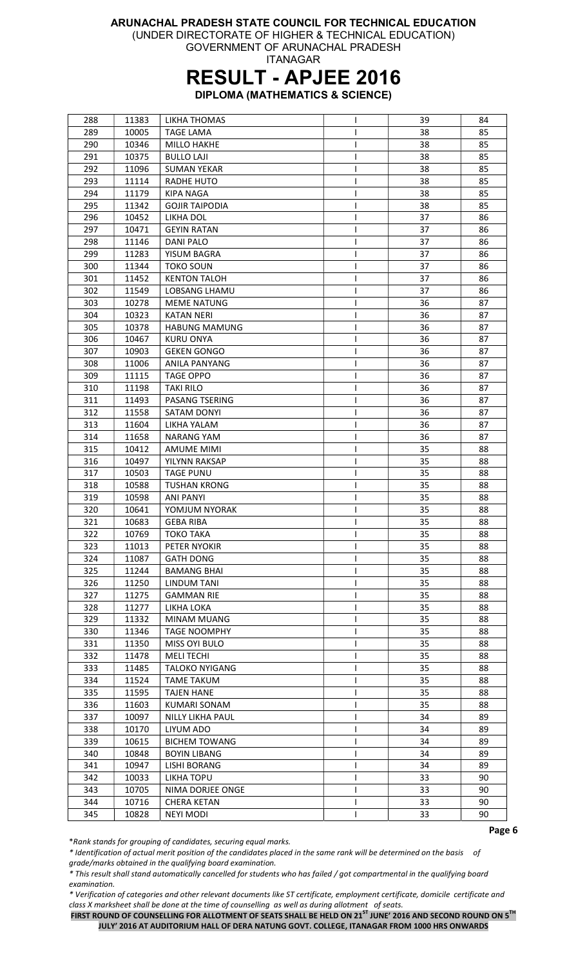(UNDER DIRECTORATE OF HIGHER & TECHNICAL EDUCATION) GOVERNMENT OF ARUNACHAL PRADESH

ITANAGAR

### RESULT - APJEE 2016

DIPLOMA (MATHEMATICS & SCIENCE)

| 288 | 11383 | LIKHA THOMAS          | I | 39 | 84 |
|-----|-------|-----------------------|---|----|----|
| 289 | 10005 | <b>TAGE LAMA</b>      |   | 38 | 85 |
| 290 | 10346 | <b>MILLO HAKHE</b>    |   | 38 | 85 |
| 291 | 10375 | <b>BULLO LAJI</b>     | L | 38 | 85 |
| 292 | 11096 | <b>SUMAN YEKAR</b>    | L | 38 | 85 |
| 293 | 11114 | RADHE HUTO            |   | 38 | 85 |
| 294 | 11179 | <b>KIPA NAGA</b>      |   | 38 | 85 |
| 295 | 11342 | <b>GOJIR TAIPODIA</b> |   | 38 | 85 |
| 296 | 10452 | LIKHA DOL             |   | 37 | 86 |
| 297 | 10471 | <b>GEYIN RATAN</b>    | I | 37 | 86 |
| 298 | 11146 | <b>DANI PALO</b>      | I | 37 | 86 |
| 299 | 11283 | YISUM BAGRA           | I | 37 | 86 |
|     | 11344 | <b>TOKO SOUN</b>      |   |    |    |
| 300 |       |                       | I | 37 | 86 |
| 301 | 11452 | <b>KENTON TALOH</b>   | L | 37 | 86 |
| 302 | 11549 | LOBSANG LHAMU         |   | 37 | 86 |
| 303 | 10278 | <b>MEME NATUNG</b>    |   | 36 | 87 |
| 304 | 10323 | <b>KATAN NERI</b>     |   | 36 | 87 |
| 305 | 10378 | <b>HABUNG MAMUNG</b>  |   | 36 | 87 |
| 306 | 10467 | <b>KURU ONYA</b>      | ı | 36 | 87 |
| 307 | 10903 | <b>GEKEN GONGO</b>    | L | 36 | 87 |
| 308 | 11006 | <b>ANILA PANYANG</b>  | I | 36 | 87 |
| 309 | 11115 | <b>TAGE OPPO</b>      | I | 36 | 87 |
| 310 | 11198 | <b>TAKI RILO</b>      |   | 36 | 87 |
| 311 | 11493 | PASANG TSERING        |   | 36 | 87 |
| 312 | 11558 | SATAM DONYI           |   | 36 | 87 |
| 313 | 11604 | LIKHA YALAM           |   | 36 | 87 |
| 314 | 11658 | NARANG YAM            |   | 36 | 87 |
| 315 | 10412 | <b>AMUME MIMI</b>     | I | 35 | 88 |
| 316 | 10497 | YILYNN RAKSAP         | L | 35 | 88 |
| 317 | 10503 | <b>TAGE PUNU</b>      |   | 35 | 88 |
| 318 | 10588 | <b>TUSHAN KRONG</b>   | I | 35 | 88 |
| 319 | 10598 | <b>ANI PANYI</b>      |   | 35 | 88 |
| 320 | 10641 | YOMJUM NYORAK         |   | 35 | 88 |
| 321 | 10683 | <b>GEBA RIBA</b>      |   | 35 | 88 |
| 322 | 10769 | TOKO TAKA             | L | 35 | 88 |
| 323 | 11013 | PETER NYOKIR          |   | 35 | 88 |
| 324 | 11087 | <b>GATH DONG</b>      | ı | 35 | 88 |
| 325 | 11244 | <b>BAMANG BHAI</b>    | L | 35 | 88 |
| 326 | 11250 | LINDUM TANI           | L | 35 | 88 |
| 327 | 11275 | <b>GAMMAN RIE</b>     | I | 35 | 88 |
| 328 | 11277 | LIKHA LOKA            |   | 35 | 88 |
| 329 | 11332 | <b>MINAM MUANG</b>    |   | 35 | 88 |
| 330 | 11346 | <b>TAGE NOOMPHY</b>   |   | 35 | 88 |
|     |       |                       |   |    |    |
| 331 | 11350 | MISS OYI BULO         |   | 35 | 88 |
| 332 | 11478 | <b>MELI TECHI</b>     |   | 35 | 88 |
| 333 | 11485 | <b>TALOKO NYIGANG</b> | I | 35 | 88 |
| 334 | 11524 | <b>TAME TAKUM</b>     |   | 35 | 88 |
| 335 | 11595 | TAJEN HANE            |   | 35 | 88 |
| 336 | 11603 | KUMARI SONAM          |   | 35 | 88 |
| 337 | 10097 | NILLY LIKHA PAUL      |   | 34 | 89 |
| 338 | 10170 | LIYUM ADO             |   | 34 | 89 |
| 339 | 10615 | <b>BICHEM TOWANG</b>  |   | 34 | 89 |
| 340 | 10848 | <b>BOYIN LIBANG</b>   | ı | 34 | 89 |
| 341 | 10947 | LISHI BORANG          | L | 34 | 89 |
| 342 | 10033 | LIKHA TOPU            | I | 33 | 90 |
| 343 | 10705 | NIMA DORJEE ONGE      | I | 33 | 90 |
| 344 | 10716 | <b>CHERA KETAN</b>    | I | 33 | 90 |
| 345 | 10828 | <b>NEYI MODI</b>      |   | 33 | 90 |

\*Rank stands for grouping of candidates, securing equal marks.

\* Identification of actual merit position of the candidates placed in the same rank will be determined on the basis of grade/marks obtained in the qualifying board examination.

\* This result shall stand automatically cancelled for students who has failed / got compartmental in the qualifying board examination.

\* Verification of categories and other relevant documents like ST certificate, employment certificate, domicile certificate and class X marksheet shall be done at the time of counselling as well as during allotment of seats.

FIRST ROUND OF COUNSELLING FOR ALLOTMENT OF SEATS SHALL BE HELD ON 21<sup>ST</sup> JUNE' 2016 AND SECOND ROUND ON 5<sup>TH</sup> JULY' 2016 AT AUDITORIUM HALL OF DERA NATUNG GOVT. COLLEGE, ITANAGAR FROM 1000 HRS ONWARDS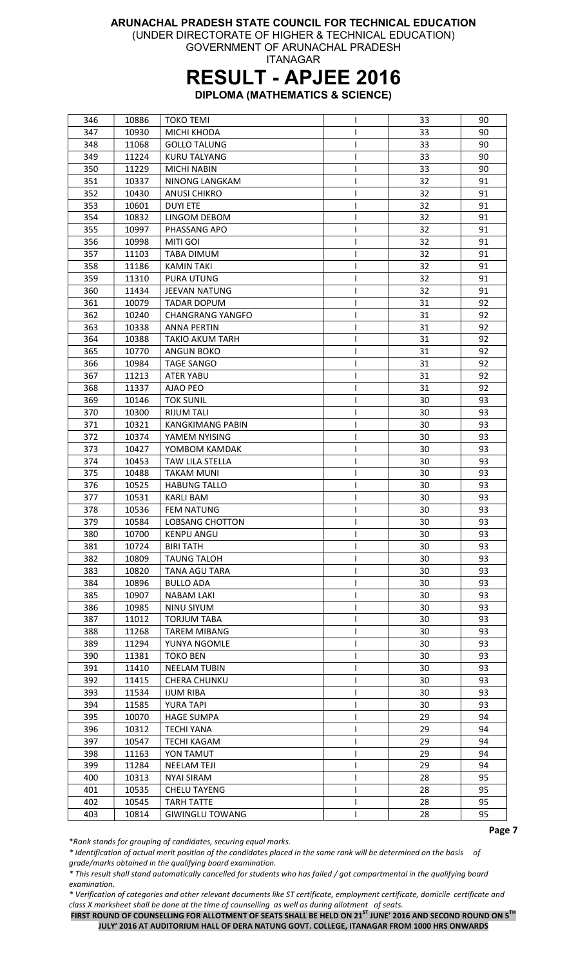(UNDER DIRECTORATE OF HIGHER & TECHNICAL EDUCATION)

GOVERNMENT OF ARUNACHAL PRADESH ITANAGAR

## RESULT - APJEE 2016

DIPLOMA (MATHEMATICS & SCIENCE)

| 346 | 10886 | <b>TOKO TEMI</b>        | ı | 33 | 90 |
|-----|-------|-------------------------|---|----|----|
| 347 | 10930 | MICHI KHODA             |   | 33 | 90 |
| 348 | 11068 | <b>GOLLO TALUNG</b>     | ı | 33 | 90 |
| 349 | 11224 | <b>KURU TALYANG</b>     | L | 33 | 90 |
| 350 | 11229 | <b>MICHI NABIN</b>      |   | 33 | 90 |
| 351 | 10337 | NINONG LANGKAM          |   | 32 | 91 |
| 352 | 10430 | <b>ANUSI CHIKRO</b>     |   | 32 | 91 |
| 353 | 10601 | <b>DUYI ETE</b>         |   | 32 | 91 |
| 354 | 10832 | LINGOM DEBOM            |   | 32 | 91 |
| 355 | 10997 | PHASSANG APO            | I | 32 | 91 |
| 356 | 10998 | <b>MITI GOI</b>         | I | 32 | 91 |
| 357 | 11103 | TABA DIMUM              | L | 32 | 91 |
| 358 | 11186 | <b>KAMIN TAKI</b>       | ı | 32 | 91 |
| 359 | 11310 | PURA UTUNG              | I | 32 | 91 |
| 360 | 11434 | <b>JEEVAN NATUNG</b>    |   | 32 | 91 |
| 361 | 10079 | <b>TADAR DOPUM</b>      |   | 31 | 92 |
| 362 | 10240 | <b>CHANGRANG YANGFO</b> |   | 31 | 92 |
| 363 |       | <b>ANNA PERTIN</b>      |   |    | 92 |
|     | 10338 |                         |   | 31 |    |
| 364 | 10388 | TAKIO AKUM TARH         |   | 31 | 92 |
| 365 | 10770 | <b>ANGUN BOKO</b>       |   | 31 | 92 |
| 366 | 10984 | <b>TAGE SANGO</b>       | L | 31 | 92 |
| 367 | 11213 | <b>ATER YABU</b>        |   | 31 | 92 |
| 368 | 11337 | AJAO PEO                | L | 31 | 92 |
| 369 | 10146 | <b>TOK SUNIL</b>        | ı | 30 | 93 |
| 370 | 10300 | <b>RIJUM TALI</b>       |   | 30 | 93 |
| 371 | 10321 | <b>KANGKIMANG PABIN</b> |   | 30 | 93 |
| 372 | 10374 | YAMEM NYISING           | L | 30 | 93 |
| 373 | 10427 | YOMBOM KAMDAK           | ı | 30 | 93 |
| 374 | 10453 | TAW LILA STELLA         |   | 30 | 93 |
| 375 | 10488 | <b>TAKAM MUNI</b>       | I | 30 | 93 |
| 376 | 10525 | <b>HABUNG TALLO</b>     | I | 30 | 93 |
| 377 | 10531 | <b>KARLI BAM</b>        | ı | 30 | 93 |
| 378 | 10536 | <b>FEM NATUNG</b>       |   | 30 | 93 |
| 379 | 10584 | LOBSANG CHOTTON         |   | 30 | 93 |
| 380 | 10700 | <b>KENPU ANGU</b>       |   | 30 | 93 |
| 381 | 10724 | <b>BIRI TATH</b>        |   | 30 | 93 |
| 382 | 10809 | <b>TAUNG TALOH</b>      |   | 30 | 93 |
| 383 | 10820 | <b>TANA AGU TARA</b>    | L | 30 | 93 |
| 384 | 10896 | <b>BULLO ADA</b>        |   | 30 | 93 |
| 385 | 10907 | <b>NABAM LAKI</b>       | L | 30 | 93 |
| 386 | 10985 | <b>NINU SIYUM</b>       | ı | 30 | 93 |
| 387 | 11012 | <b>TORJUM TABA</b>      |   | 30 | 93 |
| 388 | 11268 | <b>TAREM MIBANG</b>     |   | 30 | 93 |
| 389 | 11294 | YUNYA NGOMLE            |   | 30 | 93 |
| 390 | 11381 | <b>TOKO BEN</b>         |   | 30 | 93 |
| 391 | 11410 | <b>NEELAM TUBIN</b>     | ı | 30 | 93 |
|     |       | <b>CHERA CHUNKU</b>     |   | 30 | 93 |
| 392 | 11415 |                         | L |    |    |
| 393 | 11534 | <b>IJUM RIBA</b>        |   | 30 | 93 |
| 394 | 11585 | <b>YURA TAPI</b>        |   | 30 | 93 |
| 395 | 10070 | <b>HAGE SUMPA</b>       |   | 29 | 94 |
| 396 | 10312 | <b>TECHI YANA</b>       |   | 29 | 94 |
| 397 | 10547 | TECHI KAGAM             |   | 29 | 94 |
| 398 | 11163 | YON TAMUT               |   | 29 | 94 |
| 399 | 11284 | <b>NEELAM TEJI</b>      |   | 29 | 94 |
| 400 | 10313 | <b>NYAI SIRAM</b>       | L | 28 | 95 |
| 401 | 10535 | <b>CHELU TAYENG</b>     | L | 28 | 95 |
| 402 | 10545 | <b>TARH TATTE</b>       | L | 28 | 95 |
| 403 | 10814 | <b>GIWINGLU TOWANG</b>  | ı | 28 | 95 |

\*Rank stands for grouping of candidates, securing equal marks.

\* Identification of actual merit position of the candidates placed in the same rank will be determined on the basis of grade/marks obtained in the qualifying board examination.

\* This result shall stand automatically cancelled for students who has failed / got compartmental in the qualifying board examination.

\* Verification of categories and other relevant documents like ST certificate, employment certificate, domicile certificate and class X marksheet shall be done at the time of counselling as well as during allotment of seats.

FIRST ROUND OF COUNSELLING FOR ALLOTMENT OF SEATS SHALL BE HELD ON 21<sup>ST</sup> JUNE' 2016 AND SECOND ROUND ON 5<sup>TH</sup> JULY' 2016 AT AUDITORIUM HALL OF DERA NATUNG GOVT. COLLEGE, ITANAGAR FROM 1000 HRS ONWARDS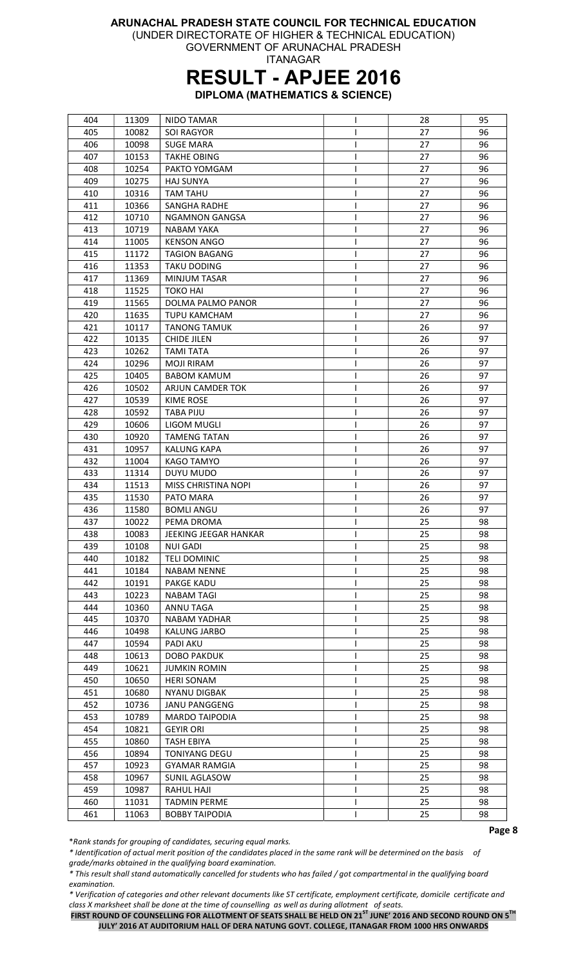(UNDER DIRECTORATE OF HIGHER & TECHNICAL EDUCATION) GOVERNMENT OF ARUNACHAL PRADESH

ITANAGAR

### RESULT - APJEE 2016

DIPLOMA (MATHEMATICS & SCIENCE)

| 404 | 11309 | <b>NIDO TAMAR</b>     | T | 28 | 95 |
|-----|-------|-----------------------|---|----|----|
| 405 | 10082 | <b>SOI RAGYOR</b>     |   | 27 | 96 |
| 406 | 10098 | <b>SUGE MARA</b>      | ı | 27 | 96 |
| 407 | 10153 | <b>TAKHE OBING</b>    | I | 27 | 96 |
| 408 | 10254 | PAKTO YOMGAM          |   | 27 | 96 |
| 409 | 10275 | <b>HAJ SUNYA</b>      |   | 27 | 96 |
| 410 | 10316 | <b>TAM TAHU</b>       |   | 27 | 96 |
| 411 | 10366 | <b>SANGHA RADHE</b>   |   | 27 | 96 |
| 412 | 10710 | <b>NGAMNON GANGSA</b> |   | 27 | 96 |
| 413 | 10719 | <b>NABAM YAKA</b>     | ı | 27 | 96 |
| 414 | 11005 | <b>KENSON ANGO</b>    | I | 27 | 96 |
| 415 | 11172 | <b>TAGION BAGANG</b>  | I | 27 | 96 |
|     |       |                       |   |    |    |
| 416 | 11353 | <b>TAKU DODING</b>    |   | 27 | 96 |
| 417 | 11369 | <b>MINJUM TASAR</b>   | L | 27 | 96 |
| 418 | 11525 | <b>TOKO HAI</b>       |   | 27 | 96 |
| 419 | 11565 | DOLMA PALMO PANOR     |   | 27 | 96 |
| 420 | 11635 | <b>TUPU KAMCHAM</b>   |   | 27 | 96 |
| 421 | 10117 | <b>TANONG TAMUK</b>   |   | 26 | 97 |
| 422 | 10135 | <b>CHIDE JILEN</b>    | ı | 26 | 97 |
| 423 | 10262 | <b>TAMI TATA</b>      | I | 26 | 97 |
| 424 | 10296 | <b>MOJI RIRAM</b>     | I | 26 | 97 |
| 425 | 10405 | <b>BABOM KAMUM</b>    | I | 26 | 97 |
| 426 | 10502 | ARJUN CAMDER TOK      |   | 26 | 97 |
| 427 | 10539 | KIME ROSE             |   | 26 | 97 |
| 428 | 10592 | <b>TABA PIJU</b>      |   | 26 | 97 |
| 429 | 10606 | LIGOM MUGLI           |   | 26 | 97 |
| 430 | 10920 | <b>TAMENG TATAN</b>   |   | 26 | 97 |
| 431 | 10957 | <b>KALUNG KAPA</b>    | ı | 26 | 97 |
| 432 | 11004 | KAGO TAMYO            | L | 26 | 97 |
| 433 | 11314 | DUYU MUDO             |   | 26 | 97 |
| 434 | 11513 | MISS CHRISTINA NOPI   |   | 26 | 97 |
| 435 | 11530 | PATO MARA             |   | 26 | 97 |
| 436 | 11580 | <b>BOMLI ANGU</b>     |   | 26 | 97 |
| 437 | 10022 | PEMA DROMA            |   | 25 | 98 |
| 438 | 10083 | JEEKING JEEGAR HANKAR | L | 25 | 98 |
| 439 | 10108 | <b>NUI GADI</b>       |   | 25 | 98 |
| 440 | 10182 | <b>TELI DOMINIC</b>   | ı | 25 | 98 |
| 441 | 10184 | <b>NABAM NENNE</b>    | L | 25 | 98 |
| 442 | 10191 | <b>PAKGE KADU</b>     | L | 25 | 98 |
| 443 | 10223 | <b>NABAM TAGI</b>     | I | 25 | 98 |
| 444 | 10360 | ANNU TAGA             | ı | 25 | 98 |
| 445 | 10370 | NABAM YADHAR          |   | 25 | 98 |
|     |       |                       |   |    |    |
| 446 | 10498 | <b>KALUNG JARBO</b>   |   | 25 | 98 |
| 447 | 10594 | <b>PADI AKU</b>       |   | 25 | 98 |
| 448 | 10613 | <b>DOBO PAKDUK</b>    |   | 25 | 98 |
| 449 | 10621 | <b>JUMKIN ROMIN</b>   | L | 25 | 98 |
| 450 | 10650 | <b>HERI SONAM</b>     |   | 25 | 98 |
| 451 | 10680 | NYANU DIGBAK          |   | 25 | 98 |
| 452 | 10736 | JANU PANGGENG         |   | 25 | 98 |
| 453 | 10789 | <b>MARDO TAIPODIA</b> |   | 25 | 98 |
| 454 | 10821 | <b>GEYIR ORI</b>      |   | 25 | 98 |
| 455 | 10860 | <b>TASH EBIYA</b>     | I | 25 | 98 |
| 456 | 10894 | <b>TONIYANG DEGU</b>  |   | 25 | 98 |
| 457 | 10923 | GYAMAR RAMGIA         | L | 25 | 98 |
| 458 | 10967 | SUNIL AGLASOW         |   | 25 | 98 |
| 459 | 10987 | RAHUL HAJI            | L | 25 | 98 |
| 460 | 11031 | <b>TADMIN PERME</b>   | I | 25 | 98 |
| 461 | 11063 | <b>BOBBY TAIPODIA</b> |   | 25 | 98 |

\*Rank stands for grouping of candidates, securing equal marks.

\* Identification of actual merit position of the candidates placed in the same rank will be determined on the basis of grade/marks obtained in the qualifying board examination.

\* This result shall stand automatically cancelled for students who has failed / got compartmental in the qualifying board examination.

\* Verification of categories and other relevant documents like ST certificate, employment certificate, domicile certificate and class X marksheet shall be done at the time of counselling as well as during allotment of seats.

FIRST ROUND OF COUNSELLING FOR ALLOTMENT OF SEATS SHALL BE HELD ON 21<sup>ST</sup> JUNE' 2016 AND SECOND ROUND ON 5<sup>TH</sup> JULY' 2016 AT AUDITORIUM HALL OF DERA NATUNG GOVT. COLLEGE, ITANAGAR FROM 1000 HRS ONWARDS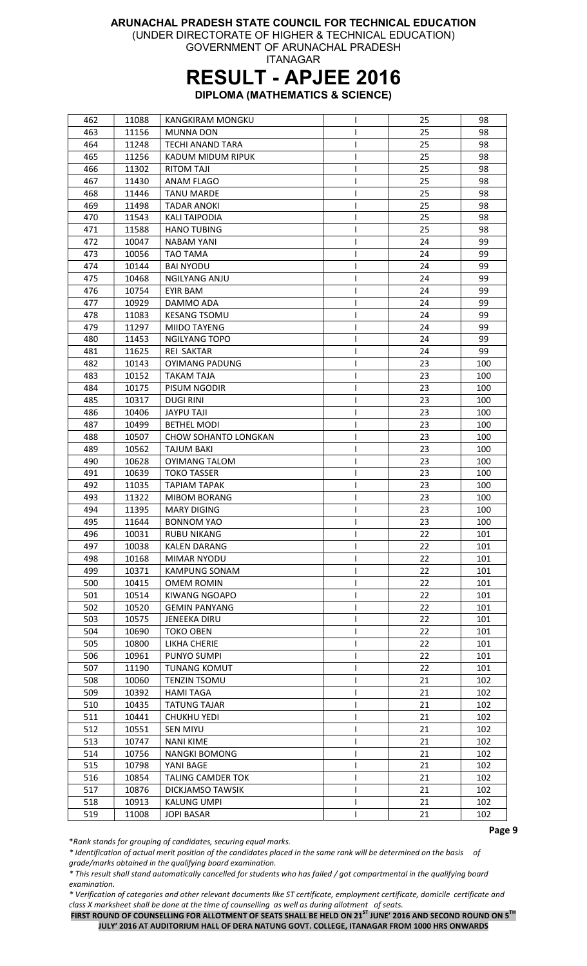(UNDER DIRECTORATE OF HIGHER & TECHNICAL EDUCATION)

GOVERNMENT OF ARUNACHAL PRADESH ITANAGAR

## RESULT - APJEE 2016

DIPLOMA (MATHEMATICS & SCIENCE)

| 462 | 11088 | KANGKIRAM MONGKU         | I | 25 | 98  |
|-----|-------|--------------------------|---|----|-----|
| 463 | 11156 | <b>MUNNA DON</b>         |   | 25 | 98  |
| 464 | 11248 | TECHI ANAND TARA         |   | 25 | 98  |
| 465 | 11256 | KADUM MIDUM RIPUK        |   | 25 | 98  |
| 466 | 11302 | <b>RITOM TAJI</b>        | L | 25 | 98  |
| 467 | 11430 | ANAM FLAGO               |   | 25 | 98  |
| 468 | 11446 | <b>TANU MARDE</b>        |   | 25 | 98  |
| 469 | 11498 | <b>TADAR ANOKI</b>       |   | 25 | 98  |
| 470 | 11543 | <b>KALI TAIPODIA</b>     |   | 25 | 98  |
| 471 | 11588 | <b>HANO TUBING</b>       | L | 25 | 98  |
| 472 | 10047 | <b>NABAM YANI</b>        | ı | 24 | 99  |
| 473 | 10056 | <b>TAO TAMA</b>          | I | 24 | 99  |
| 474 | 10144 | <b>BAI NYODU</b>         | ı | 24 | 99  |
|     |       |                          |   |    |     |
| 475 | 10468 | <b>NGILYANG ANJU</b>     | I | 24 | 99  |
| 476 | 10754 | <b>EYIR BAM</b>          |   | 24 | 99  |
| 477 | 10929 | DAMMO ADA                |   | 24 | 99  |
| 478 | 11083 | <b>KESANG TSOMU</b>      |   | 24 | 99  |
| 479 | 11297 | MIIDO TAYENG             | ı | 24 | 99  |
| 480 | 11453 | <b>NGILYANG TOPO</b>     | ı | 24 | 99  |
| 481 | 11625 | <b>REI SAKTAR</b>        | ı | 24 | 99  |
| 482 | 10143 | <b>OYIMANG PADUNG</b>    | I | 23 | 100 |
| 483 | 10152 | <b>TAKAM TAJA</b>        |   | 23 | 100 |
| 484 | 10175 | PISUM NGODIR             |   | 23 | 100 |
| 485 | 10317 | <b>DUGI RINI</b>         |   | 23 | 100 |
| 486 | 10406 | <b>JAYPU TAJI</b>        |   | 23 | 100 |
| 487 | 10499 | <b>BETHEL MODI</b>       |   | 23 | 100 |
| 488 | 10507 | CHOW SOHANTO LONGKAN     |   | 23 | 100 |
| 489 | 10562 | <b>TAJUM BAKI</b>        | ı | 23 | 100 |
| 490 | 10628 | OYIMANG TALOM            | L | 23 | 100 |
| 491 | 10639 | <b>TOKO TASSER</b>       |   | 23 | 100 |
| 492 | 11035 | <b>TAPIAM TAPAK</b>      |   | 23 | 100 |
| 493 | 11322 | <b>MIBOM BORANG</b>      |   | 23 | 100 |
| 494 | 11395 | <b>MARY DIGING</b>       |   | 23 | 100 |
| 495 | 11644 | <b>BONNOM YAO</b>        |   | 23 | 100 |
| 496 | 10031 | <b>RUBU NIKANG</b>       | L | 22 | 101 |
| 497 | 10038 | <b>KALEN DARANG</b>      |   | 22 | 101 |
| 498 | 10168 | <b>MIMAR NYODU</b>       | ı | 22 | 101 |
| 499 | 10371 | <b>KAMPUNG SONAM</b>     | L | 22 | 101 |
| 500 | 10415 | OMEM ROMIN               | L | 22 | 101 |
| 501 | 10514 | KIWANG NGOAPO            | I | 22 | 101 |
| 502 | 10520 | <b>GEMIN PANYANG</b>     | ı | 22 | 101 |
| 503 | 10575 | <b>JENEEKA DIRU</b>      |   | 22 | 101 |
| 504 | 10690 | <b>TOKO OBEN</b>         |   | 22 | 101 |
| 505 | 10800 | LIKHA CHERIE             |   | 22 | 101 |
| 506 | 10961 | PUNYO SUMPI              |   | 22 | 101 |
|     |       |                          |   |    |     |
| 507 | 11190 | <b>TUNANG KOMUT</b>      | I | 22 | 101 |
| 508 | 10060 | <b>TENZIN TSOMU</b>      |   | 21 | 102 |
| 509 | 10392 | <b>HAMI TAGA</b>         |   | 21 | 102 |
| 510 | 10435 | <b>TATUNG TAJAR</b>      |   | 21 | 102 |
| 511 | 10441 | CHUKHU YEDI              |   | 21 | 102 |
| 512 | 10551 | <b>SEN MIYU</b>          |   | 21 | 102 |
| 513 | 10747 | <b>NANI KIME</b>         |   | 21 | 102 |
| 514 | 10756 | <b>NANGKI BOMONG</b>     | ı | 21 | 102 |
| 515 | 10798 | YANI BAGE                | L | 21 | 102 |
| 516 | 10854 | <b>TALING CAMDER TOK</b> | I | 21 | 102 |
| 517 | 10876 | DICKJAMSO TAWSIK         | L | 21 | 102 |
| 518 | 10913 | KALUNG UMPI              | L | 21 | 102 |
| 519 | 11008 | <b>JOPI BASAR</b>        |   | 21 | 102 |

\*Rank stands for grouping of candidates, securing equal marks.

\* Identification of actual merit position of the candidates placed in the same rank will be determined on the basis of grade/marks obtained in the qualifying board examination.

\* This result shall stand automatically cancelled for students who has failed / got compartmental in the qualifying board examination.

\* Verification of categories and other relevant documents like ST certificate, employment certificate, domicile certificate and class X marksheet shall be done at the time of counselling as well as during allotment of seats.

FIRST ROUND OF COUNSELLING FOR ALLOTMENT OF SEATS SHALL BE HELD ON 21<sup>ST</sup> JUNE' 2016 AND SECOND ROUND ON 5<sup>TH</sup> JULY' 2016 AT AUDITORIUM HALL OF DERA NATUNG GOVT. COLLEGE, ITANAGAR FROM 1000 HRS ONWARDS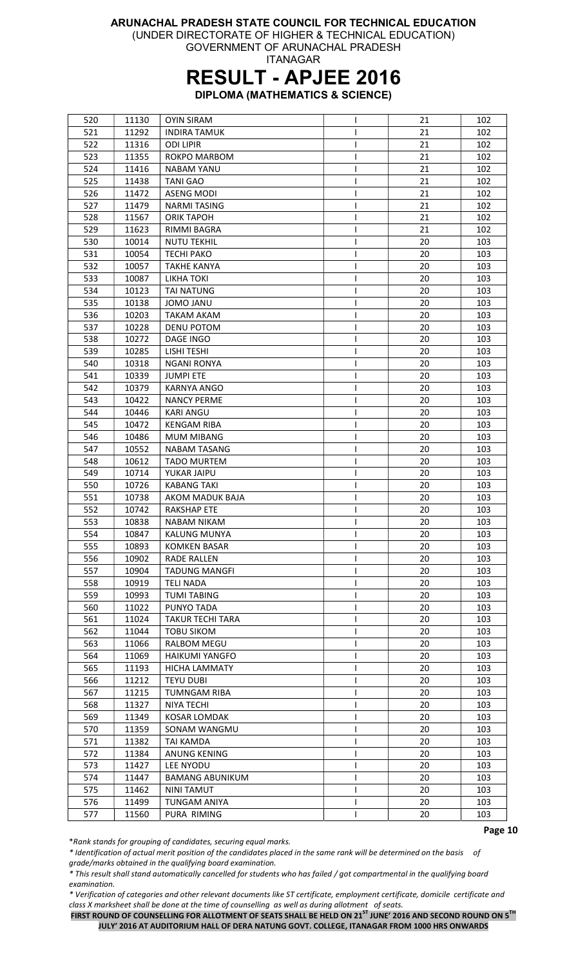(UNDER DIRECTORATE OF HIGHER & TECHNICAL EDUCATION) GOVERNMENT OF ARUNACHAL PRADESH

ITANAGAR

### RESULT - APJEE 2016

DIPLOMA (MATHEMATICS & SCIENCE)

| 520 | 11130 | <b>OYIN SIRAM</b>       | I | 21 | 102 |
|-----|-------|-------------------------|---|----|-----|
| 521 | 11292 | INDIRA TAMUK            |   | 21 | 102 |
| 522 | 11316 | <b>ODI LIPIR</b>        | ı | 21 | 102 |
| 523 | 11355 | <b>ROKPO MARBOM</b>     | L | 21 | 102 |
| 524 | 11416 | <b>NABAM YANU</b>       |   | 21 | 102 |
| 525 | 11438 | <b>TANI GAO</b>         |   | 21 | 102 |
| 526 | 11472 | <b>ASENG MODI</b>       |   | 21 | 102 |
| 527 | 11479 | <b>NARMITASING</b>      |   | 21 | 102 |
| 528 | 11567 | <b>ORIK TAPOH</b>       |   | 21 | 102 |
| 529 | 11623 | RIMMI BAGRA             |   | 21 | 102 |
| 530 | 10014 | <b>NUTU TEKHIL</b>      | I | 20 | 103 |
| 531 | 10054 | <b>TECHI PAKO</b>       | L | 20 | 103 |
| 532 | 10057 | <b>TAKHE KANYA</b>      | I | 20 | 103 |
| 533 | 10087 | LIKHA TOKI              | I | 20 | 103 |
| 534 | 10123 | <b>TAI NATUNG</b>       | I | 20 | 103 |
|     |       |                         |   |    |     |
| 535 | 10138 | <b>JOMO JANU</b>        |   | 20 | 103 |
| 536 | 10203 | <b>TAKAM AKAM</b>       |   | 20 | 103 |
| 537 | 10228 | <b>DENU POTOM</b>       |   | 20 | 103 |
| 538 | 10272 | DAGE INGO               |   | 20 | 103 |
| 539 | 10285 | LISHI TESHI             |   | 20 | 103 |
| 540 | 10318 | <b>NGANI RONYA</b>      | L | 20 | 103 |
| 541 | 10339 | <b>JUMPI ETE</b>        |   | 20 | 103 |
| 542 | 10379 | <b>KARNYA ANGO</b>      | I | 20 | 103 |
| 543 | 10422 | <b>NANCY PERME</b>      |   | 20 | 103 |
| 544 | 10446 | <b>KARI ANGU</b>        |   | 20 | 103 |
| 545 | 10472 | <b>KENGAM RIBA</b>      |   | 20 | 103 |
| 546 | 10486 | MUM MIBANG              | L | 20 | 103 |
| 547 | 10552 | <b>NABAM TASANG</b>     | L | 20 | 103 |
| 548 | 10612 | <b>TADO MURTEM</b>      |   | 20 | 103 |
| 549 | 10714 | YUKAR JAIPU             | I | 20 | 103 |
| 550 | 10726 | <b>KABANG TAKI</b>      | I | 20 | 103 |
| 551 | 10738 | AKOM MADUK BAJA         |   | 20 | 103 |
| 552 | 10742 | <b>RAKSHAP ETE</b>      |   | 20 | 103 |
| 553 | 10838 | <b>NABAM NIKAM</b>      |   | 20 | 103 |
| 554 | 10847 | <b>KALUNG MUNYA</b>     |   | 20 | 103 |
| 555 | 10893 | <b>KOMKEN BASAR</b>     |   | 20 | 103 |
| 556 | 10902 | <b>RADE RALLEN</b>      |   | 20 | 103 |
| 557 | 10904 | <b>TADUNG MANGFI</b>    | I | 20 | 103 |
| 558 | 10919 | <b>TELI NADA</b>        |   | 20 | 103 |
| 559 | 10993 | <b>TUMI TABING</b>      | L | 20 | 103 |
| 560 | 11022 | PUNYO TADA              | ı | 20 | 103 |
| 561 | 11024 | <b>TAKUR TECHI TARA</b> |   | 20 | 103 |
| 562 | 11044 | <b>TOBU SIKOM</b>       |   | 20 | 103 |
| 563 | 11066 | <b>RALBOM MEGU</b>      |   | 20 | 103 |
|     |       |                         |   |    |     |
| 564 | 11069 | <b>HAIKUMI YANGFO</b>   | ı | 20 | 103 |
| 565 | 11193 | <b>HICHA LAMMATY</b>    |   | 20 | 103 |
| 566 | 11212 | <b>TEYU DUBI</b>        | I | 20 | 103 |
| 567 | 11215 | <b>TUMNGAM RIBA</b>     | I | 20 | 103 |
| 568 | 11327 | NIYA TECHI              |   | 20 | 103 |
| 569 | 11349 | <b>KOSAR LOMDAK</b>     |   | 20 | 103 |
| 570 | 11359 | SONAM WANGMU            |   | 20 | 103 |
| 571 | 11382 | TAI KAMDA               |   | 20 | 103 |
| 572 | 11384 | ANUNG KENING            |   | 20 | 103 |
| 573 | 11427 | LEE NYODU               |   | 20 | 103 |
| 574 | 11447 | <b>BAMANG ABUNIKUM</b>  | I | 20 | 103 |
| 575 | 11462 | <b>NINI TAMUT</b>       | I | 20 | 103 |
| 576 | 11499 | TUNGAM ANIYA            | L | 20 | 103 |
| 577 | 11560 | PURA RIMING             | L | 20 | 103 |

\*Rank stands for grouping of candidates, securing equal marks.

\* Identification of actual merit position of the candidates placed in the same rank will be determined on the basis of grade/marks obtained in the qualifying board examination.

\* This result shall stand automatically cancelled for students who has failed / got compartmental in the qualifying board examination.

\* Verification of categories and other relevant documents like ST certificate, employment certificate, domicile certificate and class X marksheet shall be done at the time of counselling as well as during allotment of seats.

FIRST ROUND OF COUNSELLING FOR ALLOTMENT OF SEATS SHALL BE HELD ON 21<sup>ST</sup> JUNE' 2016 AND SECOND ROUND ON 5<sup>TH</sup> JULY' 2016 AT AUDITORIUM HALL OF DERA NATUNG GOVT. COLLEGE, ITANAGAR FROM 1000 HRS ONWARDS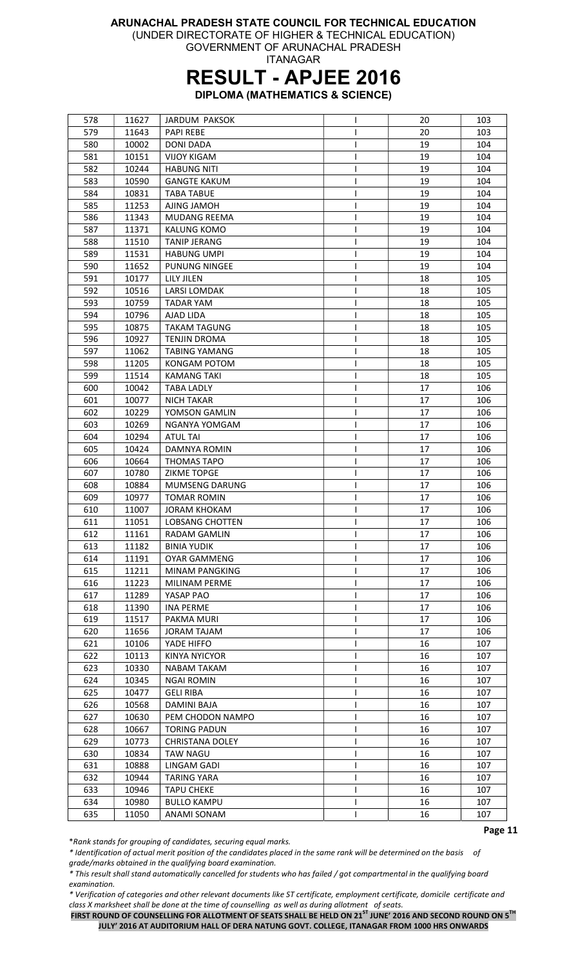(UNDER DIRECTORATE OF HIGHER & TECHNICAL EDUCATION)

GOVERNMENT OF ARUNACHAL PRADESH ITANAGAR

### RESULT - APJEE 2016

DIPLOMA (MATHEMATICS & SCIENCE)

| 578 | 11627 | <b>JARDUM PAKSOK</b>   |   | 20 | 103 |
|-----|-------|------------------------|---|----|-----|
| 579 | 11643 | <b>PAPI REBE</b>       |   | 20 | 103 |
| 580 | 10002 | <b>DONI DADA</b>       | ı | 19 | 104 |
| 581 | 10151 | <b>VIJOY KIGAM</b>     |   | 19 | 104 |
| 582 | 10244 | <b>HABUNG NITI</b>     | I | 19 | 104 |
| 583 | 10590 | <b>GANGTE KAKUM</b>    | L | 19 | 104 |
| 584 | 10831 | <b>TABA TABUE</b>      | L | 19 | 104 |
| 585 | 11253 | AJING JAMOH            |   | 19 | 104 |
| 586 | 11343 | <b>MUDANG REEMA</b>    |   | 19 | 104 |
| 587 | 11371 | KALUNG KOMO            |   | 19 | 104 |
| 588 | 11510 | <b>TANIP JERANG</b>    |   | 19 | 104 |
| 589 | 11531 | HABUNG UMPI            |   | 19 | 104 |
| 590 | 11652 | PUNUNG NINGEE          |   | 19 | 104 |
| 591 | 10177 | LILY JILEN             |   | 18 | 105 |
| 592 | 10516 | <b>LARSI LOMDAK</b>    |   | 18 | 105 |
| 593 | 10759 | <b>TADAR YAM</b>       |   | 18 | 105 |
| 594 | 10796 | AJAD LIDA              |   | 18 | 105 |
| 595 | 10875 | <b>TAKAM TAGUNG</b>    |   | 18 | 105 |
|     |       |                        |   |    |     |
| 596 | 10927 | <b>TENJIN DROMA</b>    |   | 18 | 105 |
| 597 | 11062 | <b>TABING YAMANG</b>   |   | 18 | 105 |
| 598 | 11205 | KONGAM POTOM           | ı | 18 | 105 |
| 599 | 11514 | <b>KAMANG TAKI</b>     | I | 18 | 105 |
| 600 | 10042 | <b>TABA LADLY</b>      | I | 17 | 106 |
| 601 | 10077 | <b>NICH TAKAR</b>      | L | 17 | 106 |
| 602 | 10229 | YOMSON GAMLIN          |   | 17 | 106 |
| 603 | 10269 | NGANYA YOMGAM          |   | 17 | 106 |
| 604 | 10294 | <b>ATUL TAI</b>        |   | 17 | 106 |
| 605 | 10424 | DAMNYA ROMIN           |   | 17 | 106 |
| 606 | 10664 | <b>THOMAS TAPO</b>     |   | 17 | 106 |
| 607 | 10780 | <b>ZIKME TOPGE</b>     |   | 17 | 106 |
| 608 | 10884 | <b>MUMSENG DARUNG</b>  | L | 17 | 106 |
| 609 | 10977 | <b>TOMAR ROMIN</b>     |   | 17 | 106 |
| 610 | 11007 | <b>JORAM KHOKAM</b>    | I | 17 | 106 |
| 611 | 11051 | <b>LOBSANG CHOTTEN</b> | ı | 17 | 106 |
| 612 | 11161 | <b>RADAM GAMLIN</b>    | L | 17 | 106 |
| 613 | 11182 | <b>BINIA YUDIK</b>     | L | 17 | 106 |
| 614 | 11191 | <b>OYAR GAMMENG</b>    |   | 17 | 106 |
| 615 | 11211 | <b>MINAM PANGKING</b>  | L | 17 | 106 |
| 616 | 11223 | MILINAM PERME          | I | 17 | 106 |
| 617 | 11289 | YASAP PAO              | I | 17 | 106 |
| 618 | 11390 | <b>INA PERME</b>       | L | 17 | 106 |
| 619 | 11517 | PAKMA MURI             | I | 17 | 106 |
| 620 | 11656 | <b>JORAM TAJAM</b>     |   | 17 | 106 |
| 621 | 10106 | YADE HIFFO             |   | 16 | 107 |
| 622 | 10113 | <b>KINYA NYICYOR</b>   |   | 16 | 107 |
| 623 | 10330 | NABAM TAKAM            |   | 16 | 107 |
| 624 | 10345 | <b>NGAI ROMIN</b>      |   | 16 | 107 |
| 625 | 10477 | GELI RIBA              | I | 16 | 107 |
| 626 | 10568 | DAMINI BAJA            |   | 16 | 107 |
| 627 | 10630 | PEM CHODON NAMPO       | L | 16 | 107 |
| 628 | 10667 | <b>TORING PADUN</b>    |   | 16 | 107 |
|     |       |                        |   |    |     |
| 629 | 10773 | <b>CHRISTANA DOLEY</b> |   | 16 | 107 |
| 630 | 10834 | <b>TAW NAGU</b>        |   | 16 | 107 |
| 631 | 10888 | LINGAM GADI            | L | 16 | 107 |
| 632 | 10944 | <b>TARING YARA</b>     | ш | 16 | 107 |
| 633 | 10946 | <b>TAPU CHEKE</b>      | I | 16 | 107 |
| 634 | 10980 | <b>BULLO KAMPU</b>     | L | 16 | 107 |
| 635 | 11050 | ANAMI SONAM            | L | 16 | 107 |

\*Rank stands for grouping of candidates, securing equal marks.

\* Identification of actual merit position of the candidates placed in the same rank will be determined on the basis of grade/marks obtained in the qualifying board examination.

\* This result shall stand automatically cancelled for students who has failed / got compartmental in the qualifying board examination.

\* Verification of categories and other relevant documents like ST certificate, employment certificate, domicile certificate and class X marksheet shall be done at the time of counselling as well as during allotment of seats.

FIRST ROUND OF COUNSELLING FOR ALLOTMENT OF SEATS SHALL BE HELD ON 21<sup>ST</sup> JUNE' 2016 AND SECOND ROUND ON 5<sup>TH</sup> JULY' 2016 AT AUDITORIUM HALL OF DERA NATUNG GOVT. COLLEGE, ITANAGAR FROM 1000 HRS ONWARDS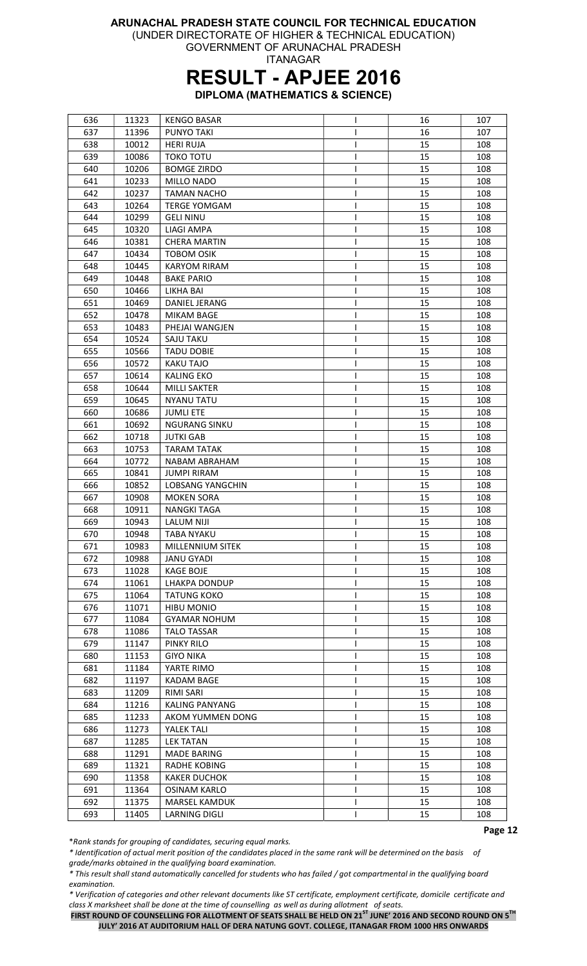(UNDER DIRECTORATE OF HIGHER & TECHNICAL EDUCATION)

GOVERNMENT OF ARUNACHAL PRADESH ITANAGAR

### RESULT - APJEE 2016

DIPLOMA (MATHEMATICS & SCIENCE)

| 636 | 11323 | <b>KENGO BASAR</b>      | ı  | 16 | 107 |
|-----|-------|-------------------------|----|----|-----|
| 637 | 11396 | PUNYO TAKI              |    | 16 | 107 |
| 638 | 10012 | HERI RUJA               |    | 15 | 108 |
| 639 | 10086 | <b>TOKO TOTU</b>        | I  | 15 | 108 |
| 640 | 10206 | <b>BOMGE ZIRDO</b>      | ı  | 15 | 108 |
| 641 | 10233 | MILLO NADO              | ı  | 15 | 108 |
| 642 | 10237 | <b>TAMAN NACHO</b>      | T  | 15 | 108 |
| 643 | 10264 | <b>TERGE YOMGAM</b>     | ı  | 15 | 108 |
| 644 | 10299 | <b>GELI NINU</b>        | ı  | 15 | 108 |
| 645 | 10320 | <b>LIAGI AMPA</b>       |    | 15 | 108 |
| 646 | 10381 | <b>CHERA MARTIN</b>     | ı  | 15 | 108 |
| 647 | 10434 | <b>TOBOM OSIK</b>       | ı  | 15 | 108 |
| 648 | 10445 | <b>KARYOM RIRAM</b>     | ı  | 15 | 108 |
| 649 | 10448 | <b>BAKE PARIO</b>       | I  | 15 | 108 |
| 650 | 10466 | LIKHA BAI               | ı  | 15 | 108 |
| 651 | 10469 | DANIEL JERANG           |    | 15 | 108 |
|     |       |                         | I  |    |     |
| 652 | 10478 | <b>MIKAM BAGE</b>       | T  | 15 | 108 |
| 653 | 10483 | PHEJAI WANGJEN          | ı  | 15 | 108 |
| 654 | 10524 | <b>SAJU TAKU</b>        |    | 15 | 108 |
| 655 | 10566 | <b>TADU DOBIE</b>       |    | 15 | 108 |
| 656 | 10572 | KAKU TAJO               | ı  | 15 | 108 |
| 657 | 10614 | <b>KALING EKO</b>       | I. | 15 | 108 |
| 658 | 10644 | <b>MILLI SAKTER</b>     | ı  | 15 | 108 |
| 659 | 10645 | NYANU TATU              | I  | 15 | 108 |
| 660 | 10686 | <b>JUMLI ETE</b>        | ı  | 15 | 108 |
| 661 | 10692 | <b>NGURANG SINKU</b>    | I  | 15 | 108 |
| 662 | 10718 | <b>JUTKI GAB</b>        | I  | 15 | 108 |
| 663 | 10753 | <b>TARAM TATAK</b>      | ı  | 15 | 108 |
| 664 | 10772 | NABAM ABRAHAM           | I  | 15 | 108 |
| 665 | 10841 | <b>JUMPI RIRAM</b>      | ı  | 15 | 108 |
| 666 | 10852 | <b>LOBSANG YANGCHIN</b> | ı  | 15 | 108 |
| 667 | 10908 | <b>MOKEN SORA</b>       | ı  | 15 | 108 |
| 668 | 10911 | <b>NANGKI TAGA</b>      | ı  | 15 | 108 |
| 669 | 10943 | <b>LALUM NIJI</b>       |    | 15 | 108 |
| 670 | 10948 | <b>TABA NYAKU</b>       |    | 15 | 108 |
| 671 | 10983 | MILLENNIUM SITEK        | J. | 15 | 108 |
| 672 | 10988 | JANU GYADI              |    | 15 | 108 |
| 673 | 11028 | <b>KAGE BOJE</b>        | ı  | 15 | 108 |
| 674 | 11061 | LHAKPA DONDUP           | I  | 15 | 108 |
| 675 | 11064 | <b>TATUNG KOKO</b>      | L  | 15 | 108 |
| 676 | 11071 | HIBU MONIO              | I  | 15 | 108 |
| 677 | 11084 | <b>GYAMAR NOHUM</b>     | ı  | 15 | 108 |
| 678 | 11086 | <b>TALO TASSAR</b>      | ı  | 15 | 108 |
|     |       |                         |    |    |     |
| 679 | 11147 | PINKY RILO              |    | 15 | 108 |
| 680 | 11153 | <b>GIYO NIKA</b>        | ı  | 15 | 108 |
| 681 | 11184 | YARTE RIMO              | I  | 15 | 108 |
| 682 | 11197 | KADAM BAGE              | I  | 15 | 108 |
| 683 | 11209 | <b>RIMI SARI</b>        | L  | 15 | 108 |
| 684 | 11216 | <b>KALING PANYANG</b>   | L  | 15 | 108 |
| 685 | 11233 | AKOM YUMMEN DONG        | I  | 15 | 108 |
| 686 | 11273 | YALEK TALI              | ı  | 15 | 108 |
| 687 | 11285 | <b>LEK TATAN</b>        |    | 15 | 108 |
| 688 | 11291 | <b>MADE BARING</b>      |    | 15 | 108 |
| 689 | 11321 | RADHE KOBING            |    | 15 | 108 |
| 690 | 11358 | <b>KAKER DUCHOK</b>     | ı  | 15 | 108 |
| 691 | 11364 | OSINAM KARLO            | ı  | 15 | 108 |
| 692 | 11375 | MARSEL KAMDUK           | I  | 15 | 108 |
|     |       |                         |    | 15 |     |

\*Rank stands for grouping of candidates, securing equal marks.

\* Identification of actual merit position of the candidates placed in the same rank will be determined on the basis of grade/marks obtained in the qualifying board examination.

\* This result shall stand automatically cancelled for students who has failed / got compartmental in the qualifying board examination.

\* Verification of categories and other relevant documents like ST certificate, employment certificate, domicile certificate and class X marksheet shall be done at the time of counselling as well as during allotment of seats.

FIRST ROUND OF COUNSELLING FOR ALLOTMENT OF SEATS SHALL BE HELD ON 21<sup>ST</sup> JUNE' 2016 AND SECOND ROUND ON 5<sup>TH</sup> JULY' 2016 AT AUDITORIUM HALL OF DERA NATUNG GOVT. COLLEGE, ITANAGAR FROM 1000 HRS ONWARDS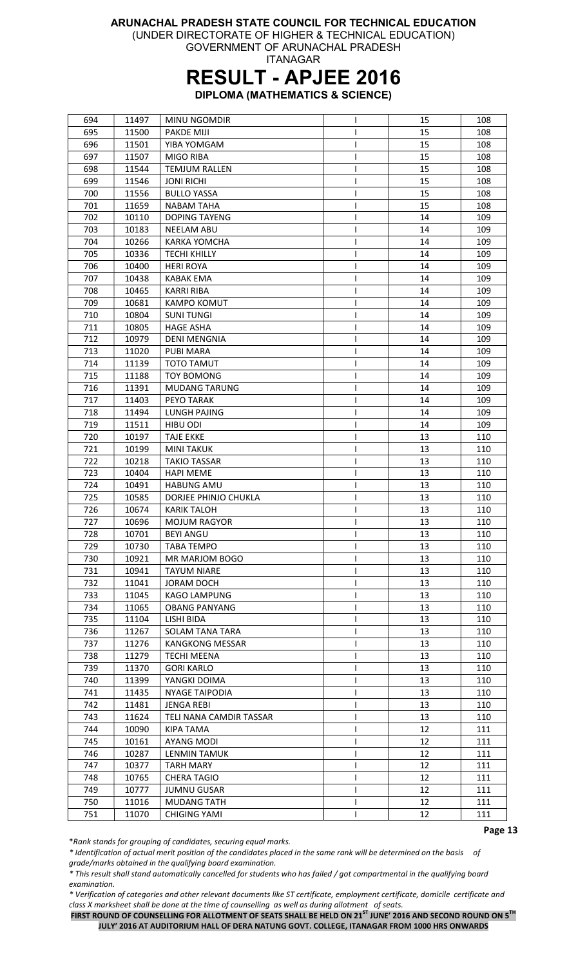(UNDER DIRECTORATE OF HIGHER & TECHNICAL EDUCATION)

GOVERNMENT OF ARUNACHAL PRADESH ITANAGAR

### RESULT - APJEE 2016

DIPLOMA (MATHEMATICS & SCIENCE)

| 694 | 11497 | MINU NGOMDIR            |   | 15 | 108 |
|-----|-------|-------------------------|---|----|-----|
| 695 | 11500 | PAKDE MIJI              |   | 15 | 108 |
| 696 | 11501 | YIBA YOMGAM             |   | 15 | 108 |
| 697 | 11507 | <b>MIGO RIBA</b>        |   | 15 | 108 |
| 698 | 11544 | <b>TEMJUM RALLEN</b>    |   | 15 | 108 |
| 699 | 11546 | <b>JONI RICHI</b>       |   | 15 | 108 |
| 700 | 11556 | <b>BULLO YASSA</b>      |   | 15 | 108 |
| 701 | 11659 | <b>NABAM TAHA</b>       |   | 15 | 108 |
| 702 | 10110 | <b>DOPING TAYENG</b>    |   | 14 | 109 |
| 703 | 10183 | <b>NEELAM ABU</b>       | ı | 14 | 109 |
| 704 | 10266 | <b>KARKA YOMCHA</b>     | ı | 14 | 109 |
| 705 |       | <b>TECHI KHILLY</b>     | ı | 14 | 109 |
|     | 10336 |                         |   |    |     |
| 706 | 10400 | <b>HERI ROYA</b>        |   | 14 | 109 |
| 707 | 10438 | <b>KABAK EMA</b>        |   | 14 | 109 |
| 708 | 10465 | <b>KARRI RIBA</b>       | ı | 14 | 109 |
| 709 | 10681 | <b>KAMPO KOMUT</b>      |   | 14 | 109 |
| 710 | 10804 | <b>SUNITUNGI</b>        | I | 14 | 109 |
| 711 | 10805 | <b>HAGE ASHA</b>        |   | 14 | 109 |
| 712 | 10979 | <b>DENI MENGNIA</b>     |   | 14 | 109 |
| 713 | 11020 | <b>PUBI MARA</b>        | ı | 14 | 109 |
| 714 | 11139 | <b>TOTO TAMUT</b>       |   | 14 | 109 |
| 715 | 11188 | <b>TOY BOMONG</b>       | ı | 14 | 109 |
| 716 | 11391 | <b>MUDANG TARUNG</b>    |   | 14 | 109 |
| 717 | 11403 | PEYO TARAK              |   | 14 | 109 |
| 718 | 11494 | <b>LUNGH PAJING</b>     |   | 14 | 109 |
| 719 | 11511 | HIBU ODI                |   | 14 | 109 |
| 720 | 10197 | <b>TAJE EKKE</b>        | ı | 13 | 110 |
| 721 | 10199 | <b>MINI TAKUK</b>       |   | 13 | 110 |
| 722 | 10218 | <b>TAKIO TASSAR</b>     | ı | 13 | 110 |
| 723 | 10404 | <b>HAPI MEME</b>        |   | 13 | 110 |
| 724 | 10491 | <b>HABUNG AMU</b>       |   | 13 | 110 |
| 725 | 10585 | DORJEE PHINJO CHUKLA    |   | 13 | 110 |
| 726 | 10674 | <b>KARIK TALOH</b>      |   | 13 | 110 |
| 727 | 10696 | <b>MOJUM RAGYOR</b>     |   | 13 | 110 |
| 728 | 10701 | <b>BEYI ANGU</b>        |   | 13 | 110 |
| 729 | 10730 | <b>TABA TEMPO</b>       |   | 13 | 110 |
| 730 | 10921 | MR MARJOM BOGO          |   | 13 | 110 |
| 731 | 10941 | <b>TAYUM NIARE</b>      |   | 13 | 110 |
| 732 | 11041 | <b>JORAM DOCH</b>       |   | 13 | 110 |
| 733 | 11045 | <b>KAGO LAMPUNG</b>     |   | 13 | 110 |
| 734 | 11065 | <b>OBANG PANYANG</b>    |   | 13 | 110 |
| 735 | 11104 | LISHI BIDA              |   | 13 | 110 |
|     |       |                         |   |    |     |
| 736 | 11267 | <b>SOLAM TANA TARA</b>  |   | 13 | 110 |
| 737 | 11276 | <b>KANGKONG MESSAR</b>  | ı | 13 | 110 |
| 738 | 11279 | <b>TECHI MEENA</b>      | ı | 13 | 110 |
| 739 | 11370 | <b>GORI KARLO</b>       | L | 13 | 110 |
| 740 | 11399 | YANGKI DOIMA            | I | 13 | 110 |
| 741 | 11435 | <b>NYAGE TAIPODIA</b>   |   | 13 | 110 |
| 742 | 11481 | <b>JENGA REBI</b>       |   | 13 | 110 |
| 743 | 11624 | TELI NANA CAMDIR TASSAR |   | 13 | 110 |
| 744 | 10090 | KIPA TAMA               |   | 12 | 111 |
| 745 | 10161 | AYANG MODI              |   | 12 | 111 |
| 746 | 10287 | LENMIN TAMUK            |   | 12 | 111 |
| 747 | 10377 | <b>TARH MARY</b>        |   | 12 | 111 |
| 748 | 10765 | <b>CHERA TAGIO</b>      |   | 12 | 111 |
| 749 | 10777 | <b>JUMNU GUSAR</b>      |   | 12 | 111 |
| 750 | 11016 | <b>MUDANG TATH</b>      |   | 12 | 111 |
| 751 | 11070 | <b>CHIGING YAMI</b>     |   | 12 | 111 |

\*Rank stands for grouping of candidates, securing equal marks.

\* Identification of actual merit position of the candidates placed in the same rank will be determined on the basis of grade/marks obtained in the qualifying board examination.

\* This result shall stand automatically cancelled for students who has failed / got compartmental in the qualifying board examination.

\* Verification of categories and other relevant documents like ST certificate, employment certificate, domicile certificate and class X marksheet shall be done at the time of counselling as well as during allotment of seats.

FIRST ROUND OF COUNSELLING FOR ALLOTMENT OF SEATS SHALL BE HELD ON 21<sup>ST</sup> JUNE' 2016 AND SECOND ROUND ON 5<sup>TH</sup> JULY' 2016 AT AUDITORIUM HALL OF DERA NATUNG GOVT. COLLEGE, ITANAGAR FROM 1000 HRS ONWARDS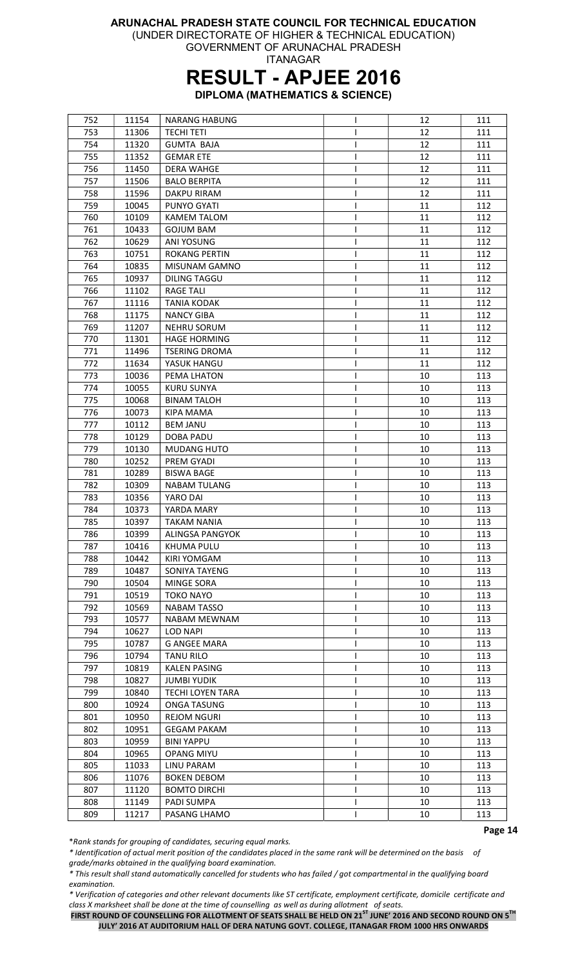(UNDER DIRECTORATE OF HIGHER & TECHNICAL EDUCATION)

GOVERNMENT OF ARUNACHAL PRADESH ITANAGAR

## RESULT - APJEE 2016

DIPLOMA (MATHEMATICS & SCIENCE)

| 752 | 11154          | <b>NARANG HABUNG</b>    | I. | 12 | 111 |
|-----|----------------|-------------------------|----|----|-----|
| 753 | 11306          | <b>TECHI TETI</b>       | ı  | 12 | 111 |
| 754 | 11320          | <b>GUMTA BAJA</b>       | ı  | 12 | 111 |
| 755 | 11352          | <b>GEMAR ETE</b>        | ı  | 12 | 111 |
| 756 | 11450          | <b>DERA WAHGE</b>       | I. | 12 | 111 |
| 757 | 11506          | <b>BALO BERPITA</b>     |    | 12 | 111 |
| 758 | 11596          | DAKPU RIRAM             |    | 12 | 111 |
| 759 | 10045          | PUNYO GYATI             |    | 11 | 112 |
| 760 | 10109          | <b>KAMEM TALOM</b>      |    | 11 | 112 |
| 761 | 10433          | <b>GOJUM BAM</b>        |    | 11 | 112 |
| 762 | 10629          | ANI YOSUNG              |    | 11 | 112 |
| 763 | 10751          | <b>ROKANG PERTIN</b>    |    | 11 | 112 |
|     | 10835          |                         | ı  |    |     |
| 764 |                | MISUNAM GAMNO           |    | 11 | 112 |
| 765 | 10937          | <b>DILING TAGGU</b>     | ı  | 11 | 112 |
| 766 | 11102          | <b>RAGE TALI</b>        |    | 11 | 112 |
| 767 | 11116          | <b>TANIA KODAK</b>      |    | 11 | 112 |
| 768 | 11175          | <b>NANCY GIBA</b>       |    | 11 | 112 |
| 769 | 11207          | <b>NEHRU SORUM</b>      | ı  | 11 | 112 |
| 770 | 11301          | <b>HAGE HORMING</b>     | ı  | 11 | 112 |
| 771 | 11496          | <b>TSERING DROMA</b>    | ı  | 11 | 112 |
| 772 | 11634          | YASUK HANGU             | I  | 11 | 112 |
| 773 | 10036          | PEMA LHATON             | T  | 10 | 113 |
| 774 | 10055          | <b>KURU SUNYA</b>       | ı  | 10 | 113 |
| 775 | 10068          | <b>BINAM TALOH</b>      |    | 10 | 113 |
| 776 | 10073          | <b>KIPA MAMA</b>        |    | 10 | 113 |
| 777 | 10112          | <b>BEM JANU</b>         |    | 10 | 113 |
| 778 | 10129          | DOBA PADU               |    | 10 | 113 |
| 779 | 10130          | <b>MUDANG HUTO</b>      |    | 10 | 113 |
| 780 | 10252          | PREM GYADI              |    | 10 | 113 |
| 781 | 10289          | <b>BISWA BAGE</b>       |    | 10 | 113 |
| 782 | 10309          | <b>NABAM TULANG</b>     |    | 10 | 113 |
| 783 | 10356          | YARO DAI                |    | 10 | 113 |
| 784 | 10373          | YARDA MARY              |    | 10 | 113 |
| 785 | 10397          | <b>TAKAM NANIA</b>      |    | 10 | 113 |
| 786 | 10399          | ALINGSA PANGYOK         | I. | 10 | 113 |
| 787 | 10416          | KHUMA PULU              |    | 10 | 113 |
| 788 | 10442          | KIRI YOMGAM             |    | 10 | 113 |
| 789 | 10487          | SONIYA TAYENG           | L  | 10 | 113 |
| 790 | 10504          | MINGE SORA              | ı  | 10 | 113 |
| 791 | 10519          | <b>TOKO NAYO</b>        |    | 10 | 113 |
| 792 | 10569          | <b>NABAM TASSO</b>      |    | 10 | 113 |
|     |                |                         |    | 10 |     |
| 793 | 10577<br>10627 | <b>NABAM MEWNAM</b>     |    |    | 113 |
| 794 |                | <b>LOD NAPI</b>         |    | 10 | 113 |
| 795 | 10787          | <b>G ANGEE MARA</b>     | I  | 10 | 113 |
| 796 | 10794          | <b>TANU RILO</b>        |    | 10 | 113 |
| 797 | 10819          | <b>KALEN PASING</b>     |    | 10 | 113 |
| 798 | 10827          | <b>JUMBI YUDIK</b>      |    | 10 | 113 |
| 799 | 10840          | <b>TECHI LOYEN TARA</b> |    | 10 | 113 |
| 800 | 10924          | <b>ONGA TASUNG</b>      |    | 10 | 113 |
| 801 | 10950          | <b>REJOM NGURI</b>      |    | 10 | 113 |
| 802 | 10951          | <b>GEGAM PAKAM</b>      |    | 10 | 113 |
| 803 | 10959          | <b>BINI YAPPU</b>       |    | 10 | 113 |
| 804 | 10965          | <b>OPANG MIYU</b>       |    | 10 | 113 |
| 805 | 11033          | LINU PARAM              |    | 10 | 113 |
| 806 | 11076          | <b>BOKEN DEBOM</b>      | ı  | 10 | 113 |
| 807 | 11120          | <b>BOMTO DIRCHI</b>     | ı  | 10 | 113 |
| 808 | 11149          | PADI SUMPA              | ı  | 10 | 113 |
| 809 | 11217          | PASANG LHAMO            |    | 10 | 113 |

\*Rank stands for grouping of candidates, securing equal marks.

\* Identification of actual merit position of the candidates placed in the same rank will be determined on the basis of grade/marks obtained in the qualifying board examination.

\* This result shall stand automatically cancelled for students who has failed / got compartmental in the qualifying board examination.

\* Verification of categories and other relevant documents like ST certificate, employment certificate, domicile certificate and class X marksheet shall be done at the time of counselling as well as during allotment of seats.

FIRST ROUND OF COUNSELLING FOR ALLOTMENT OF SEATS SHALL BE HELD ON 21<sup>ST</sup> JUNE' 2016 AND SECOND ROUND ON 5<sup>TH</sup> JULY' 2016 AT AUDITORIUM HALL OF DERA NATUNG GOVT. COLLEGE, ITANAGAR FROM 1000 HRS ONWARDS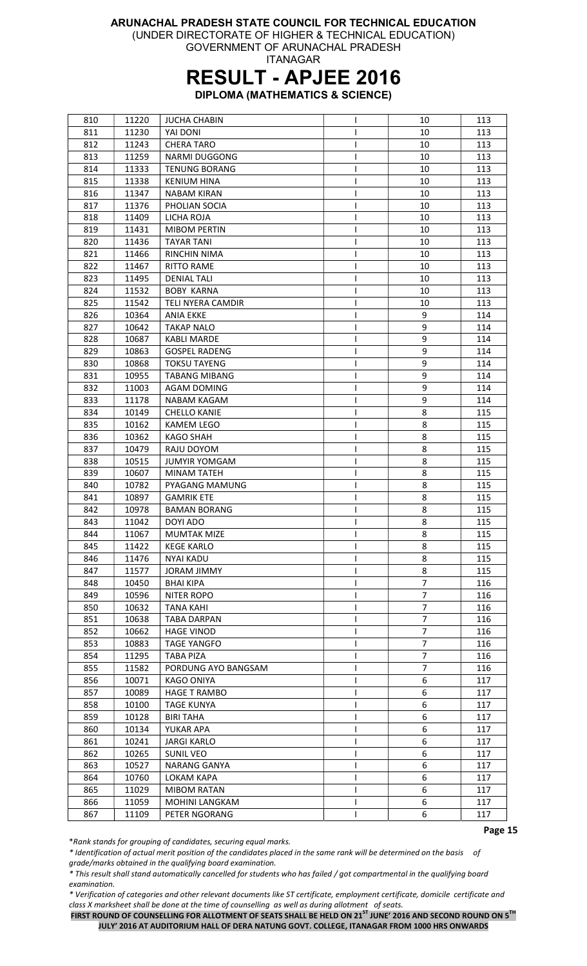(UNDER DIRECTORATE OF HIGHER & TECHNICAL EDUCATION) GOVERNMENT OF ARUNACHAL PRADESH

ITANAGAR

### RESULT - APJEE 2016

DIPLOMA (MATHEMATICS & SCIENCE)

| 810 | 11220 | <b>JUCHA CHABIN</b>      | ı  | 10             | 113 |
|-----|-------|--------------------------|----|----------------|-----|
| 811 | 11230 | YAI DONI                 |    | 10             | 113 |
| 812 | 11243 | <b>CHERA TARO</b>        | J  | 10             | 113 |
| 813 | 11259 | <b>NARMI DUGGONG</b>     | ı  | 10             | 113 |
| 814 | 11333 | <b>TENUNG BORANG</b>     |    | 10             | 113 |
| 815 | 11338 | KENIUM HINA              |    | 10             | 113 |
| 816 | 11347 | NABAM KIRAN              |    | 10             | 113 |
| 817 | 11376 | PHOLIAN SOCIA            |    | 10             | 113 |
| 818 | 11409 | LICHA ROJA               |    | 10             | 113 |
| 819 | 11431 | <b>MIBOM PERTIN</b>      |    | 10             | 113 |
| 820 | 11436 | <b>TAYAR TANI</b>        |    | 10             | 113 |
| 821 | 11466 | <b>RINCHIN NIMA</b>      |    | 10             | 113 |
|     |       |                          |    |                |     |
| 822 | 11467 | <b>RITTO RAME</b>        |    | 10             | 113 |
| 823 | 11495 | <b>DENIAL TALI</b>       | ı  | 10             | 113 |
| 824 | 11532 | <b>BOBY KARNA</b>        | ı  | 10             | 113 |
| 825 | 11542 | <b>TELI NYERA CAMDIR</b> |    | 10             | 113 |
| 826 | 10364 | <b>ANIA EKKE</b>         |    | 9              | 114 |
| 827 | 10642 | <b>TAKAP NALO</b>        | ı  | 9              | 114 |
| 828 | 10687 | <b>KABLI MARDE</b>       | ı  | 9              | 114 |
| 829 | 10863 | <b>GOSPEL RADENG</b>     | ı  | 9              | 114 |
| 830 | 10868 | <b>TOKSU TAYENG</b>      | L  | 9              | 114 |
| 831 | 10955 | <b>TABANG MIBANG</b>     | ı  | 9              | 114 |
| 832 | 11003 | <b>AGAM DOMING</b>       |    | 9              | 114 |
| 833 | 11178 | <b>NABAM KAGAM</b>       |    | 9              | 114 |
| 834 | 10149 | <b>CHELLO KANIE</b>      |    | 8              | 115 |
| 835 | 10162 | <b>KAMEM LEGO</b>        |    | 8              | 115 |
| 836 | 10362 | KAGO SHAH                |    | 8              | 115 |
| 837 | 10479 | RAJU DOYOM               |    | 8              | 115 |
| 838 | 10515 | <b>JUMYIR YOMGAM</b>     |    | 8              | 115 |
| 839 | 10607 | <b>MINAM TATEH</b>       |    | 8              | 115 |
| 840 | 10782 | PYAGANG MAMUNG           |    | 8              | 115 |
| 841 | 10897 | <b>GAMRIK ETE</b>        |    | 8              | 115 |
| 842 | 10978 | <b>BAMAN BORANG</b>      |    | 8              | 115 |
| 843 | 11042 | DOYI ADO                 |    | 8              | 115 |
| 844 | 11067 | <b>MUMTAK MIZE</b>       | I. | 8              | 115 |
| 845 | 11422 | <b>KEGE KARLO</b>        |    | 8              | 115 |
| 846 | 11476 | <b>NYAI KADU</b>         |    | 8              | 115 |
| 847 | 11577 | <b>JORAM JIMMY</b>       |    | 8              | 115 |
| 848 | 10450 | <b>BHAI KIPA</b>         | ı  | 7              | 116 |
| 849 | 10596 | <b>NITER ROPO</b>        | ı  | $\overline{7}$ | 116 |
| 850 | 10632 | <b>TANA KAHI</b>         | ı  | 7              | 116 |
| 851 |       | <b>TABA DARPAN</b>       |    | $\overline{7}$ | 116 |
|     | 10638 |                          |    | $\overline{7}$ |     |
| 852 | 10662 | <b>HAGE VINOD</b>        |    | $\overline{7}$ | 116 |
| 853 | 10883 | <b>TAGE YANGFO</b>       |    |                | 116 |
| 854 | 11295 | <b>TABA PIZA</b>         | ı  | 7              | 116 |
| 855 | 11582 | PORDUNG AYO BANGSAM      | ı  | $\overline{7}$ | 116 |
| 856 | 10071 | <b>KAGO ONIYA</b>        | ı  | 6              | 117 |
| 857 | 10089 | <b>HAGE T RAMBO</b>      |    | 6              | 117 |
| 858 | 10100 | <b>TAGE KUNYA</b>        |    | 6              | 117 |
| 859 | 10128 | <b>BIRI TAHA</b>         |    | 6              | 117 |
| 860 | 10134 | YUKAR APA                |    | 6              | 117 |
| 861 | 10241 | JARGI KARLO              |    | 6              | 117 |
| 862 | 10265 | <b>SUNIL VEO</b>         |    | 6              | 117 |
| 863 | 10527 | NARANG GANYA             | ı  | 6              | 117 |
| 864 | 10760 | LOKAM KAPA               | ı  | 6              | 117 |
| 865 | 11029 | <b>MIBOM RATAN</b>       |    | 6              | 117 |
| 866 | 11059 | MOHINI LANGKAM           | ı  | 6              | 117 |
| 867 | 11109 | PETER NGORANG            |    | 6              | 117 |

\*Rank stands for grouping of candidates, securing equal marks.

\* Identification of actual merit position of the candidates placed in the same rank will be determined on the basis of grade/marks obtained in the qualifying board examination.

\* This result shall stand automatically cancelled for students who has failed / got compartmental in the qualifying board examination.

\* Verification of categories and other relevant documents like ST certificate, employment certificate, domicile certificate and class X marksheet shall be done at the time of counselling as well as during allotment of seats.

FIRST ROUND OF COUNSELLING FOR ALLOTMENT OF SEATS SHALL BE HELD ON 21<sup>ST</sup> JUNE' 2016 AND SECOND ROUND ON 5<sup>TH</sup> JULY' 2016 AT AUDITORIUM HALL OF DERA NATUNG GOVT. COLLEGE, ITANAGAR FROM 1000 HRS ONWARDS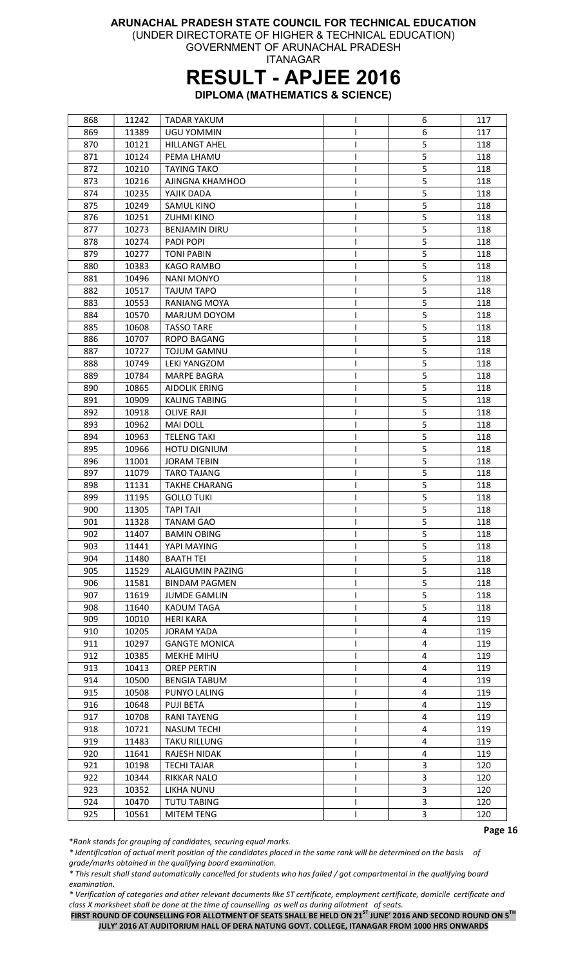(UNDER DIRECTORATE OF HIGHER & TECHNICAL EDUCATION)

GOVERNMENT OF ARUNACHAL PRADESH ITANAGAR

## RESULT - APJEE 2016

DIPLOMA (MATHEMATICS & SCIENCE)

| 868 | 11242 | <b>TADAR YAKUM</b>   | L  | 6 | 117 |
|-----|-------|----------------------|----|---|-----|
| 869 | 11389 | <b>UGU YOMMIN</b>    |    | 6 | 117 |
| 870 | 10121 | <b>HILLANGT AHEL</b> |    | 5 | 118 |
| 871 | 10124 | PEMA LHAMU           | I  | 5 | 118 |
| 872 | 10210 | <b>TAYING TAKO</b>   | L  | 5 | 118 |
| 873 | 10216 | AJINGNA KHAMHOO      | T  | 5 | 118 |
| 874 | 10235 | YAJIK DADA           | L  | 5 | 118 |
| 875 | 10249 | SAMUL KINO           |    | 5 | 118 |
| 876 | 10251 | <b>ZUHMI KINO</b>    |    | 5 | 118 |
| 877 | 10273 | <b>BENJAMIN DIRU</b> |    | 5 | 118 |
| 878 | 10274 | PADI POPI            |    | 5 | 118 |
| 879 | 10277 | <b>TONI PABIN</b>    |    | 5 | 118 |
| 880 | 10383 | KAGO RAMBO           | L  | 5 | 118 |
|     |       | <b>NANI MONYO</b>    | L  | 5 |     |
| 881 | 10496 |                      |    |   | 118 |
| 882 | 10517 | <b>TAJUM TAPO</b>    | T  | 5 | 118 |
| 883 | 10553 | <b>RANIANG MOYA</b>  | L  | 5 | 118 |
| 884 | 10570 | MARJUM DOYOM         |    | 5 | 118 |
| 885 | 10608 | <b>TASSO TARE</b>    |    | 5 | 118 |
| 886 | 10707 | <b>ROPO BAGANG</b>   | T  | 5 | 118 |
| 887 | 10727 | <b>TOJUM GAMNU</b>   | I  | 5 | 118 |
| 888 | 10749 | <b>LEKI YANGZOM</b>  | L  | 5 | 118 |
| 889 | 10784 | <b>MARPE BAGRA</b>   | I. | 5 | 118 |
| 890 | 10865 | <b>AIDOLIK ERING</b> | T  | 5 | 118 |
| 891 | 10909 | <b>KALING TABING</b> |    | 5 | 118 |
| 892 | 10918 | <b>OLIVE RAJI</b>    |    | 5 | 118 |
| 893 | 10962 | <b>MAI DOLL</b>      |    | 5 | 118 |
| 894 | 10963 | <b>TELENG TAKI</b>   |    | 5 | 118 |
| 895 | 10966 | <b>HOTU DIGNIUM</b>  | L  | 5 | 118 |
| 896 | 11001 | <b>JORAM TEBIN</b>   | I  | 5 | 118 |
| 897 | 11079 | <b>TARO TAJANG</b>   |    | 5 | 118 |
| 898 | 11131 | <b>TAKHE CHARANG</b> |    | 5 | 118 |
| 899 | 11195 | <b>GOLLO TUKI</b>    | T  | 5 | 118 |
| 900 | 11305 | <b>TAPI TAJI</b>     | L  | 5 | 118 |
| 901 | 11328 | TANAM GAO            |    | 5 | 118 |
| 902 | 11407 | <b>BAMIN OBING</b>   |    | 5 | 118 |
| 903 | 11441 | YAPI MAYING          | L  | 5 | 118 |
| 904 | 11480 | <b>BAATH TEI</b>     |    | 5 | 118 |
| 905 | 11529 | ALAIGUMIN PAZING     | L  | 5 | 118 |
| 906 | 11581 | <b>BINDAM PAGMEN</b> | L  | 5 | 118 |
| 907 | 11619 | <b>JUMDE GAMLIN</b>  | T  | 5 | 118 |
|     |       |                      |    | 5 |     |
| 908 | 11640 | KADUM TAGA           | L  |   | 118 |
| 909 | 10010 | <b>HERI KARA</b>     |    | 4 | 119 |
| 910 | 10205 | <b>JORAM YADA</b>    |    | 4 | 119 |
| 911 | 10297 | <b>GANGTE MONICA</b> |    | 4 | 119 |
| 912 | 10385 | <b>MEKHE MIHU</b>    |    | 4 | 119 |
| 913 | 10413 | <b>OREP PERTIN</b>   | L  | 4 | 119 |
| 914 | 10500 | <b>BENGIA TABUM</b>  | L  | 4 | 119 |
| 915 | 10508 | PUNYO LALING         | L  | 4 | 119 |
| 916 | 10648 | PUJI BETA            | L  | 4 | 119 |
| 917 | 10708 | <b>RANI TAYENG</b>   |    | 4 | 119 |
| 918 | 10721 | <b>NASUM TECHI</b>   |    | 4 | 119 |
| 919 | 11483 | <b>TAKU RILLUNG</b>  |    | 4 | 119 |
| 920 | 11641 | RAJESH NIDAK         |    | 4 | 119 |
| 921 | 10198 | <b>TECHI TAJAR</b>   |    | 3 | 120 |
| 922 | 10344 | RIKKAR NALO          | L  | 3 | 120 |
| 923 | 10352 | LIKHA NUNU           | I  | 3 | 120 |
| 924 | 10470 | <b>TUTU TABING</b>   | L  | 3 | 120 |
| 925 | 10561 | MITEM TENG           |    | 3 | 120 |

\*Rank stands for grouping of candidates, securing equal marks.

\* Identification of actual merit position of the candidates placed in the same rank will be determined on the basis of grade/marks obtained in the qualifying board examination.

\* This result shall stand automatically cancelled for students who has failed / got compartmental in the qualifying board examination.

\* Verification of categories and other relevant documents like ST certificate, employment certificate, domicile certificate and class X marksheet shall be done at the time of counselling as well as during allotment of seats.

FIRST ROUND OF COUNSELLING FOR ALLOTMENT OF SEATS SHALL BE HELD ON 21<sup>ST</sup> JUNE' 2016 AND SECOND ROUND ON 5<sup>TH</sup> JULY' 2016 AT AUDITORIUM HALL OF DERA NATUNG GOVT. COLLEGE, ITANAGAR FROM 1000 HRS ONWARDS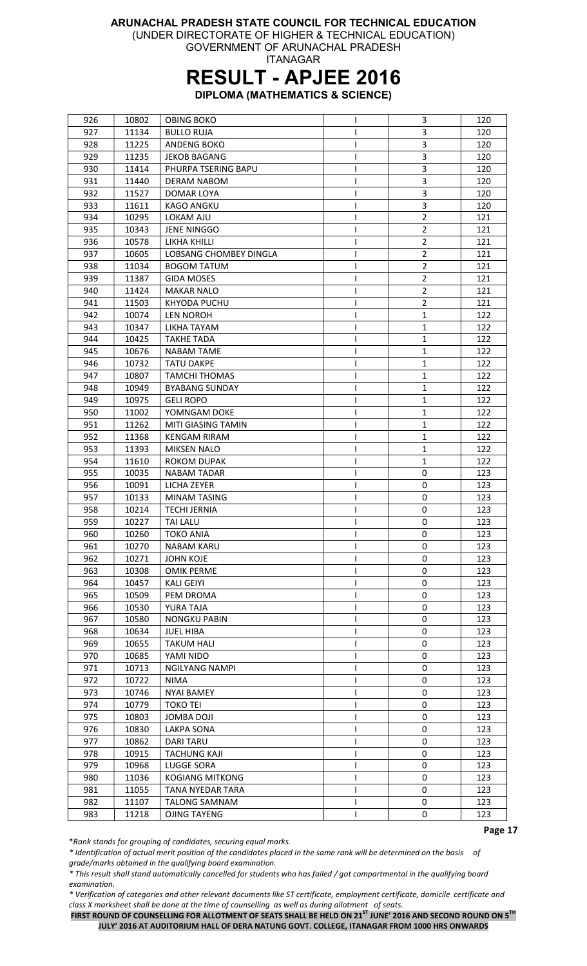(UNDER DIRECTORATE OF HIGHER & TECHNICAL EDUCATION)

GOVERNMENT OF ARUNACHAL PRADESH ITANAGAR

## RESULT - APJEE 2016

DIPLOMA (MATHEMATICS & SCIENCE)

| 926 | 10802 | <b>OBING BOKO</b>      |   | 3              | 120 |
|-----|-------|------------------------|---|----------------|-----|
| 927 | 11134 | <b>BULLO RUJA</b>      |   | 3              | 120 |
| 928 | 11225 | ANDENG BOKO            |   | 3              | 120 |
| 929 | 11235 | <b>JEKOB BAGANG</b>    |   | 3              | 120 |
| 930 | 11414 | PHURPA TSERING BAPU    |   | 3              | 120 |
| 931 | 11440 | <b>DERAM NABOM</b>     |   | 3              | 120 |
| 932 | 11527 | DOMAR LOYA             |   | 3              | 120 |
| 933 | 11611 | <b>KAGO ANGKU</b>      |   | 3              | 120 |
| 934 | 10295 | LOKAM AJU              |   | $\overline{2}$ | 121 |
| 935 | 10343 | <b>JENE NINGGO</b>     |   | $\overline{2}$ | 121 |
| 936 | 10578 | LIKHA KHILLI           |   | $\overline{2}$ | 121 |
| 937 | 10605 | LOBSANG CHOMBEY DINGLA |   | $\overline{2}$ | 121 |
| 938 | 11034 | <b>BOGOM TATUM</b>     | L | $\overline{2}$ | 121 |
| 939 | 11387 | <b>GIDA MOSES</b>      | ı | $\overline{2}$ | 121 |
| 940 | 11424 | <b>MAKAR NALO</b>      |   | $\overline{2}$ | 121 |
| 941 | 11503 | KHYODA PUCHU           |   | $\overline{2}$ | 121 |
| 942 | 10074 | <b>LEN NOROH</b>       |   | $\mathbf{1}$   | 122 |
| 943 | 10347 | LIKHA TAYAM            |   | $\mathbf{1}$   | 122 |
| 944 | 10425 | <b>TAKHE TADA</b>      |   | 1              | 122 |
| 945 | 10676 | NABAM TAME             |   | 1              | 122 |
| 946 | 10732 | <b>TATU DAKPE</b>      |   | 1              | 122 |
| 947 | 10807 | <b>TAMCHI THOMAS</b>   |   | 1              | 122 |
| 948 | 10949 | <b>BYABANG SUNDAY</b>  |   | 1              | 122 |
|     |       |                        |   |                |     |
| 949 | 10975 | <b>GELI ROPO</b>       | I | 1              | 122 |
| 950 | 11002 | YOMNGAM DOKE           |   | 1              | 122 |
| 951 | 11262 | MITI GIASING TAMIN     |   | 1              | 122 |
| 952 | 11368 | <b>KENGAM RIRAM</b>    |   | 1              | 122 |
| 953 | 11393 | MIKSEN NALO            |   | $\mathbf{1}$   | 122 |
| 954 | 11610 | <b>ROKOM DUPAK</b>     |   | 1              | 122 |
| 955 | 10035 | <b>NABAM TADAR</b>     |   | 0              | 123 |
| 956 | 10091 | LICHA ZEYER            | L | 0              | 123 |
| 957 | 10133 | <b>MINAM TASING</b>    | L | 0              | 123 |
| 958 | 10214 | <b>TECHI JERNIA</b>    |   | 0              | 123 |
| 959 | 10227 | <b>TAI LALU</b>        |   | 0              | 123 |
| 960 | 10260 | <b>TOKO ANIA</b>       |   | 0              | 123 |
| 961 | 10270 | <b>NABAM KARU</b>      | н | 0              | 123 |
| 962 | 10271 | JOHN KOJE              |   | 0              | 123 |
| 963 | 10308 | <b>OMIK PERME</b>      |   | 0              | 123 |
| 964 | 10457 | <b>KALI GEIYI</b>      | I | 0              | 123 |
| 965 | 10509 | PEM DROMA              |   | 0              | 123 |
| 966 | 10530 | YURA TAJA              | L | 0              | 123 |
| 967 | 10580 | <b>NONGKU PABIN</b>    |   | 0              | 123 |
| 968 | 10634 | <b>JUEL HIBA</b>       |   | 0              | 123 |
| 969 | 10655 | <b>TAKUM HALI</b>      |   | 0              | 123 |
| 970 | 10685 | YAMI NIDO              |   | 0              | 123 |
| 971 | 10713 | <b>NGILYANG NAMPI</b>  |   | 0              | 123 |
| 972 | 10722 | <b>NIMA</b>            |   | 0              | 123 |
| 973 | 10746 | <b>NYAI BAMEY</b>      |   | 0              | 123 |
| 974 | 10779 | <b>TOKO TEI</b>        | L | 0              | 123 |
| 975 | 10803 | JOMBA DOJI             |   | 0              | 123 |
| 976 | 10830 | LAKPA SONA             |   | 0              | 123 |
| 977 | 10862 | <b>DARI TARU</b>       |   | 0              | 123 |
| 978 | 10915 | <b>TACHUNG KAJI</b>    |   | 0              | 123 |
| 979 | 10968 | LUGGE SORA             |   | 0              | 123 |
| 980 | 11036 | <b>KOGIANG MITKONG</b> |   | 0              | 123 |
| 981 | 11055 | TANA NYEDAR TARA       | L | 0              | 123 |
| 982 | 11107 | <b>TALONG SAMNAM</b>   | L | 0              | 123 |
| 983 | 11218 | OJING TAYENG           |   | 0              | 123 |

\*Rank stands for grouping of candidates, securing equal marks.

\* Identification of actual merit position of the candidates placed in the same rank will be determined on the basis of grade/marks obtained in the qualifying board examination.

\* This result shall stand automatically cancelled for students who has failed / got compartmental in the qualifying board examination.

\* Verification of categories and other relevant documents like ST certificate, employment certificate, domicile certificate and class X marksheet shall be done at the time of counselling as well as during allotment of seats.

FIRST ROUND OF COUNSELLING FOR ALLOTMENT OF SEATS SHALL BE HELD ON 21<sup>ST</sup> JUNE' 2016 AND SECOND ROUND ON 5<sup>TH</sup> JULY' 2016 AT AUDITORIUM HALL OF DERA NATUNG GOVT. COLLEGE, ITANAGAR FROM 1000 HRS ONWARDS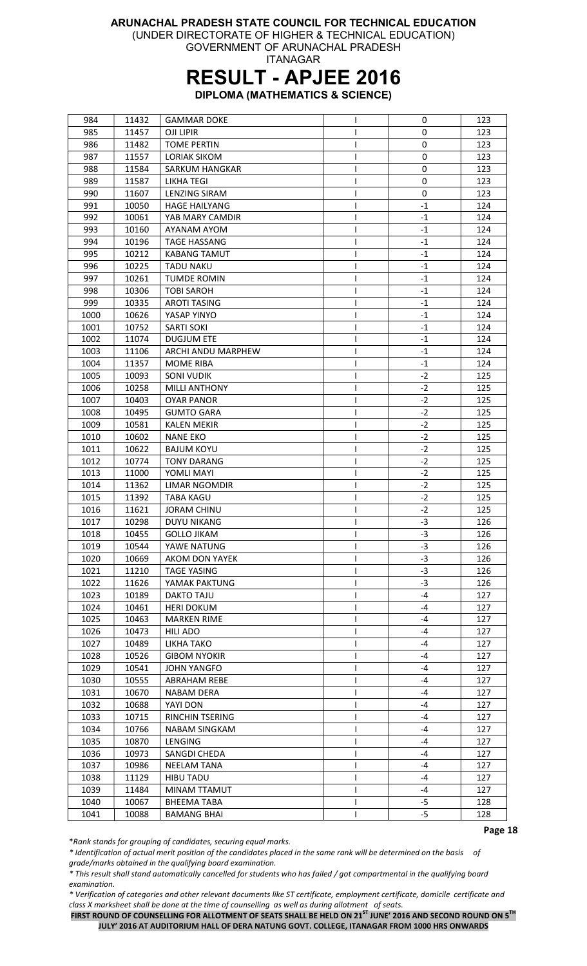(UNDER DIRECTORATE OF HIGHER & TECHNICAL EDUCATION) GOVERNMENT OF ARUNACHAL PRADESH

ITANAGAR

### RESULT - APJEE 2016

DIPLOMA (MATHEMATICS & SCIENCE)

| 984  | 11432 | <b>GAMMAR DOKE</b>     | L | 0           | 123 |
|------|-------|------------------------|---|-------------|-----|
| 985  | 11457 | OJI LIPIR              |   | $\mathbf 0$ | 123 |
| 986  | 11482 | <b>TOME PERTIN</b>     |   | 0           | 123 |
| 987  | 11557 | <b>LORIAK SIKOM</b>    |   | 0           | 123 |
| 988  | 11584 | <b>SARKUM HANGKAR</b>  |   | 0           | 123 |
| 989  | 11587 | <b>LIKHA TEGI</b>      | I | 0           | 123 |
| 990  | 11607 | <b>LENZING SIRAM</b>   |   | 0           | 123 |
| 991  | 10050 | <b>HAGE HAILYANG</b>   |   | $-1$        | 124 |
| 992  | 10061 | YAB MARY CAMDIR        |   | $-1$        | 124 |
| 993  | 10160 | AYANAM AYOM            |   | $-1$        | 124 |
| 994  | 10196 | <b>TAGE HASSANG</b>    |   | $-1$        | 124 |
| 995  | 10212 | <b>KABANG TAMUT</b>    |   | $-1$        | 124 |
| 996  | 10225 | <b>TADU NAKU</b>       |   | $-1$        | 124 |
| 997  | 10261 | <b>TUMDE ROMIN</b>     |   | $-1$        | 124 |
| 998  | 10306 | <b>TOBI SAROH</b>      | I | $-1$        | 124 |
| 999  | 10335 | <b>AROTI TASING</b>    | L | -1          | 124 |
| 1000 | 10626 | YASAP YINYO            |   | $-1$        | 124 |
| 1001 | 10752 | <b>SARTI SOKI</b>      |   | $-1$        | 124 |
| 1002 | 11074 | <b>DUGJUM ETE</b>      |   | $-1$        | 124 |
| 1003 |       | ARCHI ANDU MARPHEW     |   | $-1$        | 124 |
|      | 11106 |                        |   |             |     |
| 1004 | 11357 | <b>MOME RIBA</b>       | I | -1          | 124 |
| 1005 | 10093 | <b>SONI VUDIK</b>      | L | $-2$        | 125 |
| 1006 | 10258 | <b>MILLI ANTHONY</b>   | L | $-2$        | 125 |
| 1007 | 10403 | <b>OYAR PANOR</b>      |   | $-2$        | 125 |
| 1008 | 10495 | <b>GUMTO GARA</b>      | L | -2          | 125 |
| 1009 | 10581 | <b>KALEN MEKIR</b>     |   | $-2$        | 125 |
| 1010 | 10602 | <b>NANE EKO</b>        |   | $-2$        | 125 |
| 1011 | 10622 | <b>BAJUM KOYU</b>      |   | $-2$        | 125 |
| 1012 | 10774 | <b>TONY DARANG</b>     |   | $-2$        | 125 |
| 1013 | 11000 | YOMLI MAYI             |   | $-2$        | 125 |
| 1014 | 11362 | LIMAR NGOMDIR          |   | $-2$        | 125 |
| 1015 | 11392 | <b>TABA KAGU</b>       | I | $-2$        | 125 |
| 1016 | 11621 | <b>JORAM CHINU</b>     | I | $-2$        | 125 |
| 1017 | 10298 | <b>DUYU NIKANG</b>     |   | $-3$        | 126 |
| 1018 | 10455 | <b>GOLLO JIKAM</b>     |   | $-3$        | 126 |
| 1019 | 10544 | YAWE NATUNG            | L | $-3$        | 126 |
| 1020 | 10669 | AKOM DON YAYEK         |   | $-3$        | 126 |
| 1021 | 11210 | <b>TAGE YASING</b>     |   | $-3$        | 126 |
| 1022 | 11626 | YAMAK PAKTUNG          | I | $-3$        | 126 |
| 1023 | 10189 | DAKTO TAJU             | L | -4          | 127 |
| 1024 | 10461 | <b>HERI DOKUM</b>      | ı | -4          | 127 |
| 1025 | 10463 | <b>MARKEN RIME</b>     | L | -4          | 127 |
| 1026 | 10473 | HILI ADO               |   | -4          | 127 |
| 1027 | 10489 | LIKHA TAKO             |   | -4          | 127 |
| 1028 | 10526 | <b>GIBOM NYOKIR</b>    |   | -4          | 127 |
| 1029 | 10541 | JOHN YANGFO            |   | -4          | 127 |
| 1030 | 10555 | ABRAHAM REBE           |   | -4          | 127 |
| 1031 | 10670 | <b>NABAM DERA</b>      | I | -4          | 127 |
| 1032 | 10688 | YAYI DON               | L | -4          | 127 |
| 1033 | 10715 | <b>RINCHIN TSERING</b> |   | -4          | 127 |
| 1034 | 10766 | <b>NABAM SINGKAM</b>   |   | -4          | 127 |
| 1035 | 10870 | <b>LENGING</b>         |   | $-4$        | 127 |
| 1036 | 10973 | SANGDI CHEDA           |   | -4          | 127 |
| 1037 | 10986 | <b>NEELAM TANA</b>     |   | -4          | 127 |
| 1038 | 11129 | HIBU TADU              |   | -4          | 127 |
| 1039 | 11484 | MINAM TTAMUT           |   | -4          | 127 |
| 1040 | 10067 | <b>BHEEMA TABA</b>     | L | -5          | 128 |
|      |       |                        | L |             |     |
| 1041 | 10088 | <b>BAMANG BHAI</b>     |   | $-5$        | 128 |

\*Rank stands for grouping of candidates, securing equal marks.

\* Identification of actual merit position of the candidates placed in the same rank will be determined on the basis of grade/marks obtained in the qualifying board examination.

\* This result shall stand automatically cancelled for students who has failed / got compartmental in the qualifying board examination.

\* Verification of categories and other relevant documents like ST certificate, employment certificate, domicile certificate and class X marksheet shall be done at the time of counselling as well as during allotment of seats.

FIRST ROUND OF COUNSELLING FOR ALLOTMENT OF SEATS SHALL BE HELD ON 21<sup>ST</sup> JUNE' 2016 AND SECOND ROUND ON 5<sup>TH</sup> JULY' 2016 AT AUDITORIUM HALL OF DERA NATUNG GOVT. COLLEGE, ITANAGAR FROM 1000 HRS ONWARDS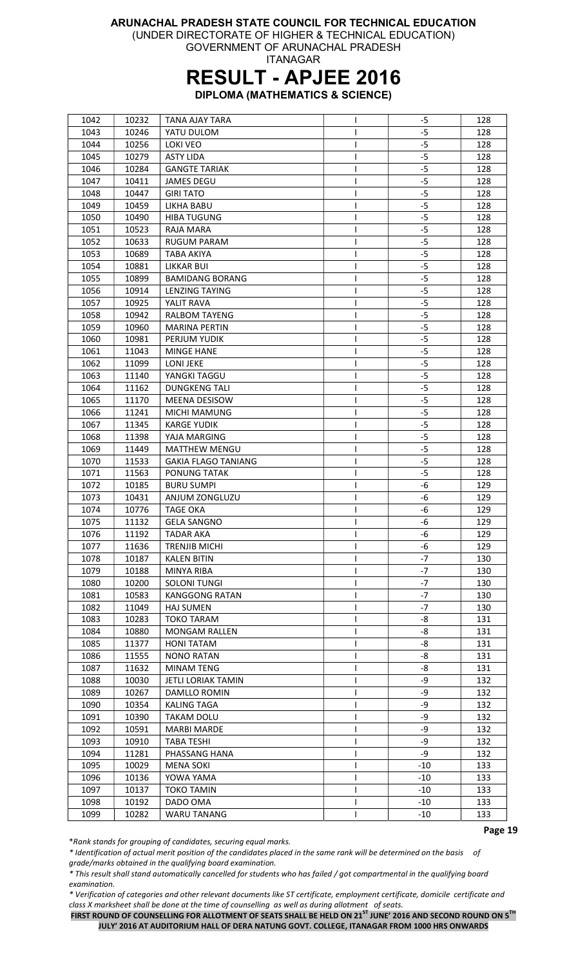(UNDER DIRECTORATE OF HIGHER & TECHNICAL EDUCATION)

GOVERNMENT OF ARUNACHAL PRADESH ITANAGAR

### RESULT - APJEE 2016

DIPLOMA (MATHEMATICS & SCIENCE)

| 1042 | 10232 | <b>TANA AJAY TARA</b>      |   | -5    | 128 |
|------|-------|----------------------------|---|-------|-----|
| 1043 | 10246 | YATU DULOM                 |   | $-5$  | 128 |
| 1044 | 10256 | <b>LOKI VEO</b>            | L | -5    | 128 |
| 1045 | 10279 | <b>ASTY LIDA</b>           |   | $-5$  | 128 |
| 1046 | 10284 | <b>GANGTE TARIAK</b>       | I | $-5$  | 128 |
| 1047 | 10411 | <b>JAMES DEGU</b>          | L | $-5$  | 128 |
| 1048 | 10447 | <b>GIRI TATO</b>           | L | $-5$  | 128 |
| 1049 | 10459 | LIKHA BABU                 |   | $-5$  | 128 |
| 1050 | 10490 | <b>HIBA TUGUNG</b>         |   | $-5$  | 128 |
| 1051 | 10523 | RAJA MARA                  |   | $-5$  | 128 |
| 1052 | 10633 | <b>RUGUM PARAM</b>         |   | $-5$  | 128 |
| 1053 | 10689 | <b>TABA AKIYA</b>          |   | -5    | 128 |
| 1054 | 10881 | LIKKAR BUI                 |   | $-5$  | 128 |
| 1055 | 10899 | <b>BAMIDANG BORANG</b>     | L | $-5$  | 128 |
| 1056 | 10914 | <b>LENZING TAYING</b>      |   | $-5$  | 128 |
|      |       |                            |   |       |     |
| 1057 | 10925 | YALIT RAVA                 |   | $-5$  | 128 |
| 1058 | 10942 | <b>RALBOM TAYENG</b>       |   | $-5$  | 128 |
| 1059 | 10960 | <b>MARINA PERTIN</b>       |   | $-5$  | 128 |
| 1060 | 10981 | PERJUM YUDIK               |   | $-5$  | 128 |
| 1061 | 11043 | <b>MINGE HANE</b>          |   | $-5$  | 128 |
| 1062 | 11099 | <b>LONI JEKE</b>           | I | $-5$  | 128 |
| 1063 | 11140 | YANGKI TAGGU               | I | $-5$  | 128 |
| 1064 | 11162 | <b>DUNGKENG TALI</b>       | L | $-5$  | 128 |
| 1065 | 11170 | <b>MEENA DESISOW</b>       | I | $-5$  | 128 |
| 1066 | 11241 | MICHI MAMUNG               |   | -5    | 128 |
| 1067 | 11345 | <b>KARGE YUDIK</b>         |   | $-5$  | 128 |
| 1068 | 11398 | YAJA MARGING               |   | $-5$  | 128 |
| 1069 | 11449 | <b>MATTHEW MENGU</b>       |   | $-5$  | 128 |
| 1070 | 11533 | <b>GAKIA FLAGO TANIANG</b> |   | -5    | 128 |
| 1071 | 11563 | PONUNG TATAK               |   | $-5$  | 128 |
| 1072 | 10185 | <b>BURU SUMPI</b>          |   | -6    | 129 |
| 1073 | 10431 | ANJUM ZONGLUZU             |   | -6    | 129 |
| 1074 | 10776 | <b>TAGE OKA</b>            | L | -6    | 129 |
| 1075 | 11132 | <b>GELA SANGNO</b>         | ı | -6    | 129 |
| 1076 | 11192 | <b>TADAR AKA</b>           | L | -6    | 129 |
| 1077 | 11636 | <b>TRENJIB MICHI</b>       | L | $-6$  | 129 |
| 1078 | 10187 | KALEN BITIN                |   | $-7$  | 130 |
| 1079 | 10188 | MINYA RIBA                 |   | $-7$  | 130 |
| 1080 | 10200 | <b>SOLONI TUNGI</b>        | L | $-7$  | 130 |
| 1081 | 10583 | <b>KANGGONG RATAN</b>      | I | $-7$  | 130 |
| 1082 | 11049 | <b>HAJ SUMEN</b>           | L | -7    | 130 |
| 1083 | 10283 | <b>TOKO TARAM</b>          | I | -8    | 131 |
| 1084 | 10880 | <b>MONGAM RALLEN</b>       |   | -8    | 131 |
|      |       |                            |   | -8    |     |
| 1085 | 11377 | <b>HONI TATAM</b>          |   |       | 131 |
| 1086 | 11555 | <b>NONO RATAN</b>          |   | -8    | 131 |
| 1087 | 11632 | MINAM TENG                 |   | -8    | 131 |
| 1088 | 10030 | <b>JETLI LORIAK TAMIN</b>  |   | -9    | 132 |
| 1089 | 10267 | DAMLLO ROMIN               | I | -9    | 132 |
| 1090 | 10354 | <b>KALING TAGA</b>         |   | -9    | 132 |
| 1091 | 10390 | <b>TAKAM DOLU</b>          |   | -9    | 132 |
| 1092 | 10591 | <b>MARBI MARDE</b>         |   | -9    | 132 |
| 1093 | 10910 | <b>TABA TESHI</b>          |   | -9    | 132 |
| 1094 | 11281 | PHASSANG HANA              |   | -9    | 132 |
| 1095 | 10029 | <b>MENA SOKI</b>           |   | $-10$ | 133 |
| 1096 | 10136 | YOWA YAMA                  | ш | -10   | 133 |
| 1097 | 10137 | <b>TOKO TAMIN</b>          | L | $-10$ | 133 |
| 1098 | 10192 | DADO OMA                   | L | -10   | 133 |
| 1099 | 10282 | <b>WARU TANANG</b>         | L | $-10$ | 133 |

\*Rank stands for grouping of candidates, securing equal marks.

\* Identification of actual merit position of the candidates placed in the same rank will be determined on the basis of grade/marks obtained in the qualifying board examination.

\* This result shall stand automatically cancelled for students who has failed / got compartmental in the qualifying board examination.

\* Verification of categories and other relevant documents like ST certificate, employment certificate, domicile certificate and class X marksheet shall be done at the time of counselling as well as during allotment of seats.

FIRST ROUND OF COUNSELLING FOR ALLOTMENT OF SEATS SHALL BE HELD ON 21<sup>ST</sup> JUNE' 2016 AND SECOND ROUND ON 5<sup>TH</sup> JULY' 2016 AT AUDITORIUM HALL OF DERA NATUNG GOVT. COLLEGE, ITANAGAR FROM 1000 HRS ONWARDS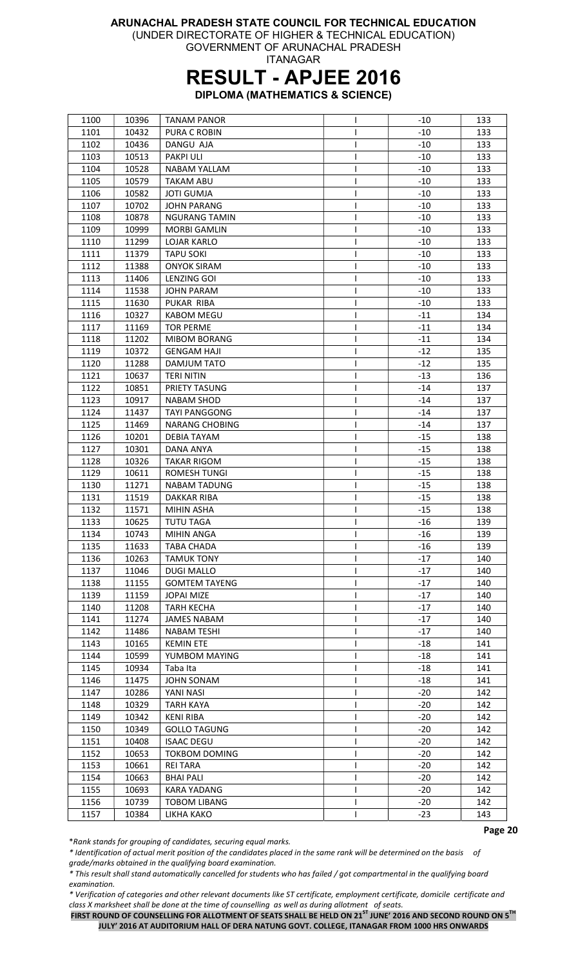(UNDER DIRECTORATE OF HIGHER & TECHNICAL EDUCATION)

GOVERNMENT OF ARUNACHAL PRADESH ITANAGAR

## RESULT - APJEE 2016

DIPLOMA (MATHEMATICS & SCIENCE)

| 1100 | 10396 | <b>TANAM PANOR</b>    |   | -10   | 133 |
|------|-------|-----------------------|---|-------|-----|
| 1101 | 10432 | PURA C ROBIN          |   | $-10$ | 133 |
| 1102 | 10436 | DANGU AJA             |   | $-10$ | 133 |
| 1103 | 10513 | <b>PAKPI ULI</b>      | ı | $-10$ | 133 |
| 1104 | 10528 | <b>NABAM YALLAM</b>   | L | $-10$ | 133 |
| 1105 | 10579 | <b>TAKAM ABU</b>      |   | $-10$ | 133 |
| 1106 | 10582 | <b>JOTI GUMJA</b>     | I | $-10$ | 133 |
| 1107 | 10702 | <b>JOHN PARANG</b>    |   | $-10$ | 133 |
| 1108 | 10878 | <b>NGURANG TAMIN</b>  | ı | $-10$ | 133 |
| 1109 | 10999 | <b>MORBI GAMLIN</b>   |   | $-10$ | 133 |
| 1110 | 11299 | <b>LOJAR KARLO</b>    |   | $-10$ | 133 |
| 1111 | 11379 | <b>TAPU SOKI</b>      | I | -10   | 133 |
| 1112 | 11388 | <b>ONYOK SIRAM</b>    | L | $-10$ | 133 |
| 1113 | 11406 | <b>LENZING GOI</b>    | L | -10   | 133 |
| 1114 | 11538 | <b>JOHN PARAM</b>     | L | $-10$ | 133 |
| 1115 | 11630 | PUKAR RIBA            |   | $-10$ | 133 |
|      | 10327 | <b>KABOM MEGU</b>     |   | $-11$ | 134 |
| 1116 |       |                       |   |       |     |
| 1117 | 11169 | TOR PERME             |   | $-11$ | 134 |
| 1118 | 11202 | <b>MIBOM BORANG</b>   |   | $-11$ | 134 |
| 1119 | 10372 | GENGAM HAJI           |   | $-12$ | 135 |
| 1120 | 11288 | DAMJUM TATO           | L | $-12$ | 135 |
| 1121 | 10637 | <b>TERI NITIN</b>     | L | $-13$ | 136 |
| 1122 | 10851 | PRIETY TASUNG         | I | $-14$ | 137 |
| 1123 | 10917 | <b>NABAM SHOD</b>     | I | $-14$ | 137 |
| 1124 | 11437 | <b>TAYI PANGGONG</b>  |   | $-14$ | 137 |
| 1125 | 11469 | <b>NARANG CHOBING</b> |   | $-14$ | 137 |
| 1126 | 10201 | <b>DEBIA TAYAM</b>    |   | $-15$ | 138 |
| 1127 | 10301 | DANA ANYA             |   | $-15$ | 138 |
| 1128 | 10326 | TAKAR RIGOM           | ı | $-15$ | 138 |
| 1129 | 10611 | ROMESH TUNGI          |   | $-15$ | 138 |
| 1130 | 11271 | <b>NABAM TADUNG</b>   | L | $-15$ | 138 |
| 1131 | 11519 | DAKKAR RIBA           | I | $-15$ | 138 |
| 1132 | 11571 | <b>MIHIN ASHA</b>     |   | $-15$ | 138 |
| 1133 | 10625 | <b>TUTU TAGA</b>      |   | $-16$ | 139 |
| 1134 | 10743 | <b>MIHIN ANGA</b>     |   | $-16$ | 139 |
| 1135 | 11633 | <b>TABA CHADA</b>     |   | $-16$ | 139 |
| 1136 | 10263 | TAMUK TONY            |   | $-17$ | 140 |
| 1137 | 11046 | <b>DUGI MALLO</b>     |   | $-17$ | 140 |
| 1138 | 11155 | <b>GOMTEM TAYENG</b>  | L | $-17$ | 140 |
| 1139 | 11159 | <b>JOPAI MIZE</b>     |   | $-17$ | 140 |
| 1140 | 11208 | <b>TARH KECHA</b>     | L | $-17$ | 140 |
| 1141 | 11274 | <b>JAMES NABAM</b>    |   | $-17$ | 140 |
| 1142 | 11486 | <b>NABAM TESHI</b>    |   | $-17$ | 140 |
| 1143 | 10165 | <b>KEMIN ETE</b>      |   | $-18$ | 141 |
| 1144 | 10599 | YUMBOM MAYING         |   | $-18$ | 141 |
| 1145 | 10934 | Taba Ita              |   | $-18$ | 141 |
| 1146 | 11475 | <b>JOHN SONAM</b>     |   | $-18$ | 141 |
| 1147 | 10286 | YANI NASI             | L | $-20$ | 142 |
| 1148 | 10329 | <b>TARH KAYA</b>      |   | $-20$ | 142 |
| 1149 | 10342 | KENI RIBA             |   | $-20$ | 142 |
| 1150 | 10349 | <b>GOLLO TAGUNG</b>   |   | $-20$ | 142 |
|      | 10408 | <b>ISAAC DEGU</b>     |   | -20   | 142 |
| 1151 |       |                       |   |       |     |
| 1152 | 10653 | <b>TOKBOM DOMING</b>  |   | $-20$ | 142 |
| 1153 | 10661 | <b>REI TARA</b>       |   | $-20$ | 142 |
| 1154 | 10663 | <b>BHAI PALI</b>      |   | $-20$ | 142 |
| 1155 | 10693 | KARA YADANG           | I | $-20$ | 142 |
| 1156 | 10739 | <b>TOBOM LIBANG</b>   |   | $-20$ | 142 |
| 1157 | 10384 | LIKHA KAKO            |   | $-23$ | 143 |

\*Rank stands for grouping of candidates, securing equal marks.

\* Identification of actual merit position of the candidates placed in the same rank will be determined on the basis of grade/marks obtained in the qualifying board examination.

\* This result shall stand automatically cancelled for students who has failed / got compartmental in the qualifying board examination.

\* Verification of categories and other relevant documents like ST certificate, employment certificate, domicile certificate and class X marksheet shall be done at the time of counselling as well as during allotment of seats.

FIRST ROUND OF COUNSELLING FOR ALLOTMENT OF SEATS SHALL BE HELD ON 21<sup>ST</sup> JUNE' 2016 AND SECOND ROUND ON 5<sup>TH</sup> JULY' 2016 AT AUDITORIUM HALL OF DERA NATUNG GOVT. COLLEGE, ITANAGAR FROM 1000 HRS ONWARDS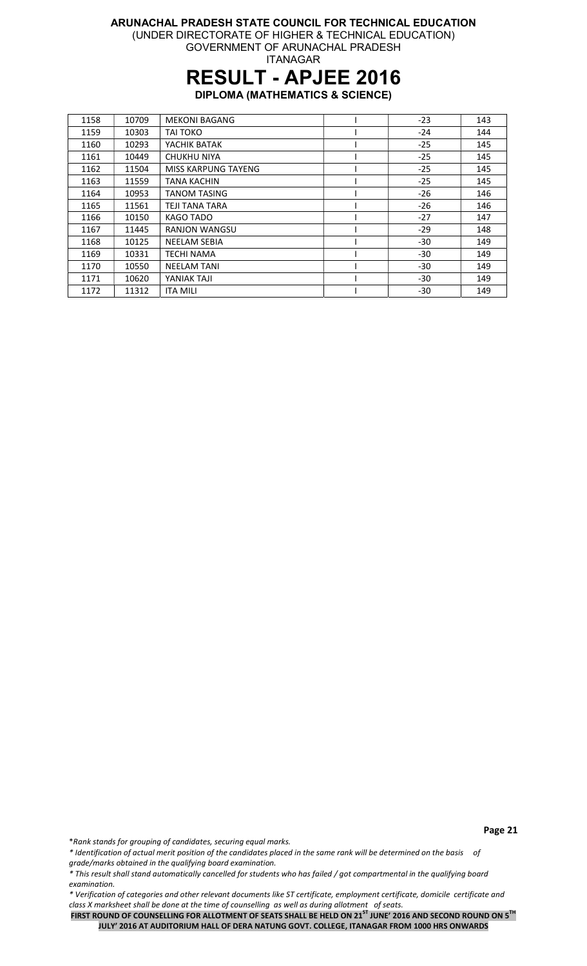#### ARUNACHAL PRADESH STATE COUNCIL FOR TECHNICAL EDUCATION (UNDER DIRECTORATE OF HIGHER & TECHNICAL EDUCATION) GOVERNMENT OF ARUNACHAL PRADESH

ITANAGAR

# RESULT - APJEE 2016

DIPLOMA (MATHEMATICS & SCIENCE)

| 1158 | 10709 | <b>MEKONI BAGANG</b>       | $-23$ | 143 |
|------|-------|----------------------------|-------|-----|
| 1159 | 10303 | <b>TAI TOKO</b>            | $-24$ | 144 |
| 1160 | 10293 | YACHIK BATAK               | $-25$ | 145 |
| 1161 | 10449 | <b>CHUKHU NIYA</b>         | $-25$ | 145 |
| 1162 | 11504 | <b>MISS KARPUNG TAYENG</b> | $-25$ | 145 |
| 1163 | 11559 | <b>TANA KACHIN</b>         | $-25$ | 145 |
| 1164 | 10953 | <b>TANOM TASING</b>        | $-26$ | 146 |
| 1165 | 11561 | TEJI TANA TARA             | $-26$ | 146 |
| 1166 | 10150 | KAGO TADO                  | $-27$ | 147 |
| 1167 | 11445 | <b>RANJON WANGSU</b>       | $-29$ | 148 |
| 1168 | 10125 | <b>NEELAM SEBIA</b>        | $-30$ | 149 |
| 1169 | 10331 | <b>TECHI NAMA</b>          | $-30$ | 149 |
| 1170 | 10550 | <b>NEELAM TANI</b>         | $-30$ | 149 |
| 1171 | 10620 | YANIAK TAJI                | $-30$ | 149 |
| 1172 | 11312 | <b>ITA MILI</b>            | -30   | 149 |

\*Rank stands for grouping of candidates, securing equal marks.

\* Identification of actual merit position of the candidates placed in the same rank will be determined on the basis of grade/marks obtained in the qualifying board examination.

\* This result shall stand automatically cancelled for students who has failed / got compartmental in the qualifying board examination.

\* Verification of categories and other relevant documents like ST certificate, employment certificate, domicile certificate and class X marksheet shall be done at the time of counselling as well as during allotment of seats.

FIRST ROUND OF COUNSELLING FOR ALLOTMENT OF SEATS SHALL BE HELD ON 21<sup>ST</sup> JUNE' 2016 AND SECOND ROUND ON 5<sup>TH</sup> JULY' 2016 AT AUDITORIUM HALL OF DERA NATUNG GOVT. COLLEGE, ITANAGAR FROM 1000 HRS ONWARDS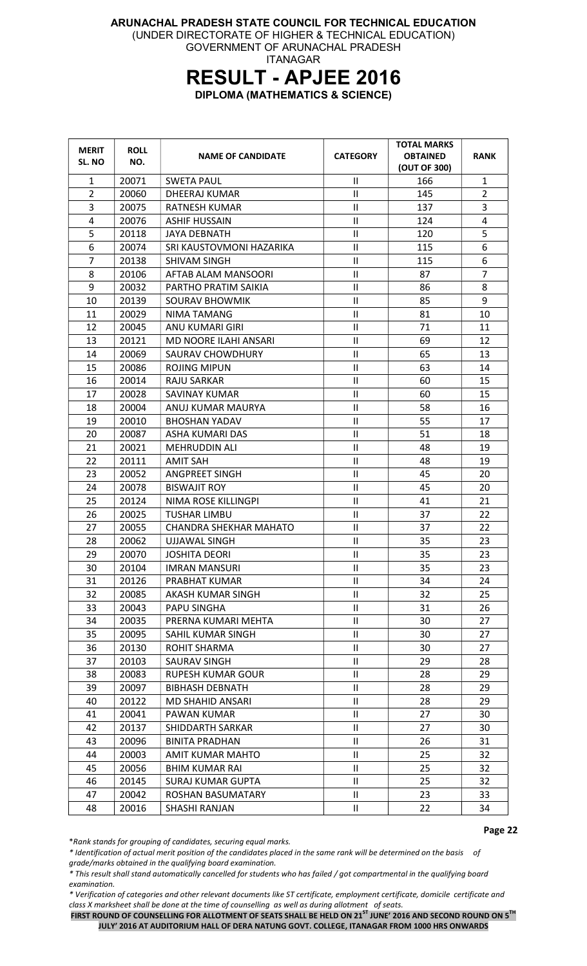#### ARUNACHAL PRADESH STATE COUNCIL FOR TECHNICAL EDUCATION (UNDER DIRECTORATE OF HIGHER & TECHNICAL EDUCATION) GOVERNMENT OF ARUNACHAL PRADESH ITANAGAR

## RESULT - APJEE 2016

DIPLOMA (MATHEMATICS & SCIENCE)

| <b>MERIT</b><br>SL. NO | <b>ROLL</b><br>NO. | <b>NAME OF CANDIDATE</b>      | <b>CATEGORY</b> | <b>TOTAL MARKS</b><br><b>OBTAINED</b><br>(OUT OF 300) | <b>RANK</b>             |
|------------------------|--------------------|-------------------------------|-----------------|-------------------------------------------------------|-------------------------|
| $\mathbf{1}$           | 20071              | <b>SWETA PAUL</b>             | $\mathbf{I}$    | 166                                                   | $\mathbf{1}$            |
| $\overline{2}$         | 20060              | DHEERAJ KUMAR                 | $\mathsf{II}$   | 145                                                   | $\overline{2}$          |
| 3                      | 20075              | <b>RATNESH KUMAR</b>          | Ш               | 137                                                   | 3                       |
| 4                      | 20076              | <b>ASHIF HUSSAIN</b>          | $\mathsf{II}$   | 124                                                   | $\overline{\mathbf{4}}$ |
| 5                      | 20118              | <b>JAYA DEBNATH</b>           | $\mathsf{II}$   | 120                                                   | 5                       |
| 6                      | 20074              | SRI KAUSTOVMONI HAZARIKA      | $\mathsf{II}$   | 115                                                   | 6                       |
| $\overline{7}$         | 20138              | <b>SHIVAM SINGH</b>           | $\mathbf{I}$    | 115                                                   | 6                       |
| 8                      | 20106              | AFTAB ALAM MANSOORI           | $\mathsf{II}$   | 87                                                    | $\overline{7}$          |
| 9                      | 20032              | PARTHO PRATIM SAIKIA          | $\mathsf{II}$   | 86                                                    | 8                       |
| 10                     | 20139              | <b>SOURAV BHOWMIK</b>         | Ш               | 85                                                    | 9                       |
| 11                     | 20029              | NIMA TAMANG                   | $\mathsf{II}$   | 81                                                    | 10                      |
| 12                     | 20045              | <b>ANU KUMARI GIRI</b>        | $\sf II$        | 71                                                    | 11                      |
| 13                     | 20121              | <b>MD NOORE ILAHI ANSARI</b>  | $\mathsf{II}$   | 69                                                    | 12                      |
| 14                     | 20069              | SAURAV CHOWDHURY              | Ш               | 65                                                    | 13                      |
| 15                     | 20086              | <b>ROJING MIPUN</b>           | $\mathsf{II}$   | 63                                                    | 14                      |
| 16                     | 20014              | <b>RAJU SARKAR</b>            | $\mathsf{II}$   | 60                                                    | 15                      |
| 17                     | 20028              | SAVINAY KUMAR                 | $\mathsf{II}$   | 60                                                    | 15                      |
| 18                     | 20004              | ANUJ KUMAR MAURYA             | $\sf II$        | 58                                                    | 16                      |
| 19                     | 20010              | <b>BHOSHAN YADAV</b>          | $\mathsf{II}$   | 55                                                    | 17                      |
| 20                     | 20087              | ASHA KUMARI DAS               | $\mathsf{II}$   | 51                                                    | 18                      |
| 21                     | 20021              | <b>MEHRUDDIN ALI</b>          | $\mathbf{I}$    | 48                                                    | 19                      |
| 22                     | 20111              | <b>AMIT SAH</b>               | $\sf II$        | 48                                                    | 19                      |
| 23                     | 20052              | <b>ANGPREET SINGH</b>         | $\mathsf{II}$   | 45                                                    | 20                      |
| 24                     | 20078              | <b>BISWAJIT ROY</b>           | $\mathsf{II}$   | 45                                                    | 20                      |
| 25                     | 20124              | NIMA ROSE KILLINGPI           | $\sf II$        | 41                                                    | 21                      |
| 26                     | 20025              | <b>TUSHAR LIMBU</b>           | $\mathsf{II}$   | 37                                                    | 22                      |
| 27                     | 20055              | <b>CHANDRA SHEKHAR MAHATO</b> | $\mathsf{II}$   | 37                                                    | 22                      |
| 28                     | 20062              | UJJAWAL SINGH                 | Ш               | 35                                                    | 23                      |
| 29                     | 20070              | <b>JOSHITA DEORI</b>          | $\mathsf{II}$   | 35                                                    | 23                      |
| 30                     | 20104              | <b>IMRAN MANSURI</b>          | $\sf II$        | 35                                                    | 23                      |
| 31                     | 20126              | PRABHAT KUMAR                 | $\mathbf{H}$    | 34                                                    | 24                      |
| 32                     | 20085              | AKASH KUMAR SINGH             | $\mathbf{II}$   | 32                                                    | 25                      |
| 33                     | 20043              | PAPU SINGHA                   | Ш               | 31                                                    | 26                      |
| 34                     | 20035              | PRERNA KUMARI MEHTA           | $\mathbf{H}$    | 30                                                    | 27                      |
| 35                     | 20095              | SAHIL KUMAR SINGH             | Ш               | 30                                                    | 27                      |
| 36                     | 20130              | ROHIT SHARMA                  | $\mathbf{H}$    | 30                                                    | 27                      |
| 37                     | 20103              | <b>SAURAV SINGH</b>           | $\mathbf{H}$    | 29                                                    | 28                      |
| 38                     | 20083              | <b>RUPESH KUMAR GOUR</b>      | Ш               | 28                                                    | 29                      |
| 39                     | 20097              | <b>BIBHASH DEBNATH</b>        | $\mathbf{H}$    | 28                                                    | 29                      |
| 40                     | 20122              | <b>MD SHAHID ANSARI</b>       | Ш               | 28                                                    | 29                      |
| 41                     | 20041              | PAWAN KUMAR                   | $\mathbf{H}$    | 27                                                    | 30                      |
| 42                     | 20137              | SHIDDARTH SARKAR              | $\mathbf{H}$    | 27                                                    | 30                      |
| 43                     | 20096              | <b>BINITA PRADHAN</b>         | Ш               | 26                                                    | 31                      |
| 44                     | 20003              | AMIT KUMAR MAHTO              | Ш               | 25                                                    | 32                      |
| 45                     | 20056              | <b>BHIM KUMAR RAI</b>         | $\mathbf{H}$    | 25                                                    | 32                      |
| 46                     | 20145              | <b>SURAJ KUMAR GUPTA</b>      | Ш               | 25                                                    | 32                      |
| 47                     | 20042              | ROSHAN BASUMATARY             | Ш               | 23                                                    | 33                      |
| 48                     | 20016              | SHASHI RANJAN                 | $\mathbf{II}$   | 22                                                    | 34                      |

\*Rank stands for grouping of candidates, securing equal marks.

\* Identification of actual merit position of the candidates placed in the same rank will be determined on the basis of grade/marks obtained in the qualifying board examination.

\* This result shall stand automatically cancelled for students who has failed / got compartmental in the qualifying board examination.

\* Verification of categories and other relevant documents like ST certificate, employment certificate, domicile certificate and class X marksheet shall be done at the time of counselling as well as during allotment of seats.

FIRST ROUND OF COUNSELLING FOR ALLOTMENT OF SEATS SHALL BE HELD ON 21<sup>ST</sup> JUNE' 2016 AND SECOND ROUND ON 5<sup>TH</sup> JULY' 2016 AT AUDITORIUM HALL OF DERA NATUNG GOVT. COLLEGE, ITANAGAR FROM 1000 HRS ONWARDS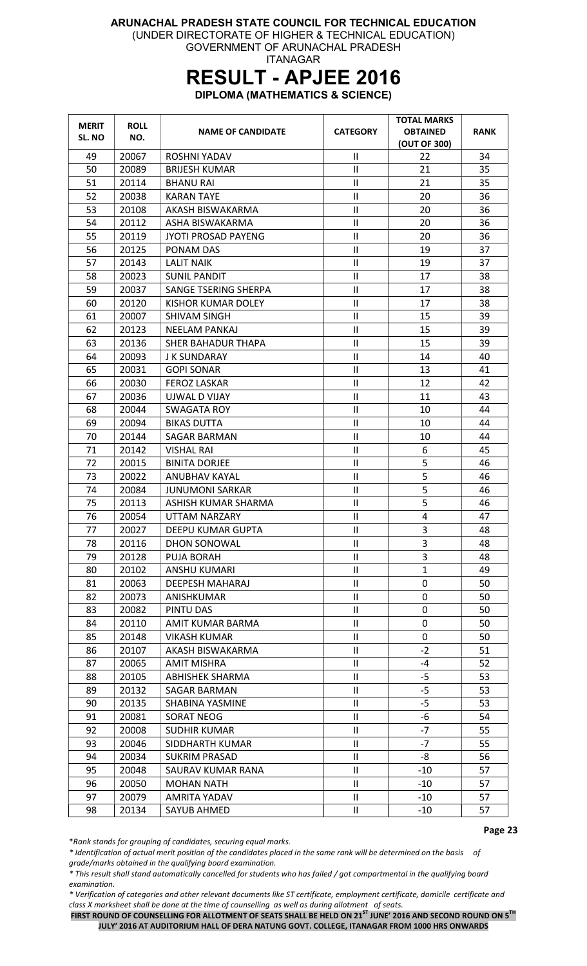#### ARUNACHAL PRADESH STATE COUNCIL FOR TECHNICAL EDUCATION (UNDER DIRECTORATE OF HIGHER & TECHNICAL EDUCATION) GOVERNMENT OF ARUNACHAL PRADESH

ITANAGAR

# RESULT - APJEE 2016

DIPLOMA (MATHEMATICS & SCIENCE)

| <b>MERIT</b><br>SL. NO | <b>ROLL</b><br>NO. | <b>NAME OF CANDIDATE</b>   | <b>CATEGORY</b>            | <b>TOTAL MARKS</b><br><b>OBTAINED</b><br>(OUT OF 300) | <b>RANK</b> |
|------------------------|--------------------|----------------------------|----------------------------|-------------------------------------------------------|-------------|
| 49                     | 20067              | ROSHNI YADAV               | $\mathbf{I}$               | 22                                                    | 34          |
| 50                     | 20089              | <b>BRIJESH KUMAR</b>       | $\mathsf{II}$              | 21                                                    | 35          |
| 51                     | 20114              | <b>BHANU RAI</b>           | $\mathbf{H}$               | 21                                                    | 35          |
| 52                     | 20038              | <b>KARAN TAYE</b>          | $\mathbf{I}$               | 20                                                    | 36          |
| 53                     | 20108              | AKASH BISWAKARMA           | $\mathsf{II}$              | 20                                                    | 36          |
| 54                     | 20112              | ASHA BISWAKARMA            | $\mathbf{II}$              | 20                                                    | 36          |
| 55                     | 20119              | <b>JYOTI PROSAD PAYENG</b> | $\mathsf{II}$              | 20                                                    | 36          |
| 56                     | 20125              | PONAM DAS                  | $\mathbf{I}$               | 19                                                    | 37          |
| 57                     | 20143              | <b>LALIT NAIK</b>          | $\mathbf{II}$              | 19                                                    | 37          |
| 58                     | 20023              | <b>SUNIL PANDIT</b>        | $\mathbf{II}$              | 17                                                    | 38          |
| 59                     | 20037              | SANGE TSERING SHERPA       | $\mathbf{II}$              | 17                                                    | 38          |
| 60                     | 20120              | KISHOR KUMAR DOLEY         | $\sf II$                   | 17                                                    | 38          |
| 61                     | 20007              | <b>SHIVAM SINGH</b>        | $\mathsf{II}$              | 15                                                    | 39          |
| 62                     | 20123              | <b>NEELAM PANKAJ</b>       | $\mathbf{H}$               | 15                                                    | 39          |
| 63                     | 20136              | SHER BAHADUR THAPA         | $\mathbf{I}$               | 15                                                    | 39          |
| 64                     | 20093              | J K SUNDARAY               | $\mathbf{II}$              | 14                                                    | 40          |
| 65                     | 20031              | <b>GOPI SONAR</b>          | $\mathbf{H}$               | 13                                                    | 41          |
| 66                     | 20030              | <b>FEROZ LASKAR</b>        | $\mathbf{I}$               | 12                                                    | 42          |
| 67                     | 20036              | UJWAL D VIJAY              | $\mathbf{I}$               | 11                                                    | 43          |
| 68                     | 20044              | <b>SWAGATA ROY</b>         | $\mathbf{II}$              | 10                                                    | 44          |
| 69                     | 20094              | <b>BIKAS DUTTA</b>         | $\mathsf{II}$              | 10                                                    | 44          |
| 70                     | 20144              | SAGAR BARMAN               | $\sf II$                   | 10                                                    | 44          |
| 71                     | 20142              | <b>VISHAL RAI</b>          | $\mathbf{I}$               | 6                                                     | 45          |
| 72                     | 20015              | <b>BINITA DORJEE</b>       | $\mathbf{II}$              | 5                                                     | 46          |
| 73                     | 20022              | ANUBHAV KAYAL              | $\mathbf{I}$               | 5                                                     | 46          |
| 74                     | 20084              | <b>JUNUMONI SARKAR</b>     | $\mathbf{II}$              | 5                                                     | 46          |
| 75                     | 20113              | ASHISH KUMAR SHARMA        | $\mathbf{I}$               | 5                                                     | 46          |
| 76                     | 20054              | UTTAM NARZARY              | $\mathbf{II}$              | 4                                                     | 47          |
| 77                     | 20027              | DEEPU KUMAR GUPTA          | Ш                          | 3                                                     | 48          |
| 78                     | 20116              | DHON SONOWAL               | П.                         | 3                                                     | 48          |
| 79                     | 20128              | PUJA BORAH                 | $\mathbf{H}$               | 3                                                     | 48          |
| 80                     | 20102              | <b>ANSHU KUMARI</b>        | $\mathbf{H}$               | $\mathbf{1}$                                          | 49          |
| 81                     | 20063              | DEEPESH MAHARAJ            | $\mathbf{II}$              | 0                                                     | 50          |
| 82                     | 20073              | ANISHKUMAR                 | $\ensuremath{\mathsf{II}}$ | 0                                                     | 50          |
| 83                     | 20082              | PINTU DAS                  | $\mathbf{H}$               | 0                                                     | 50          |
| 84                     | 20110              | AMIT KUMAR BARMA           | $\mathbf{H}$               | 0                                                     | 50          |
| 85                     | 20148              | <b>VIKASH KUMAR</b>        | $\ensuremath{\mathsf{II}}$ | 0                                                     | 50          |
| 86                     | 20107              | AKASH BISWAKARMA           | $\mathbf{II}$              | $-2$                                                  | 51          |
| 87                     | 20065              | <b>AMIT MISHRA</b>         | $\mathbf{H}$               | $-4$                                                  | 52          |
| 88                     | 20105              | <b>ABHISHEK SHARMA</b>     | $\ensuremath{\mathsf{II}}$ | $-5$                                                  | 53          |
| 89                     | 20132              | SAGAR BARMAN               | $\ensuremath{\mathsf{II}}$ | -5                                                    | 53          |
| 90                     | 20135              | SHABINA YASMINE            | Ш                          | $-5$                                                  | 53          |
| 91                     | 20081              | <b>SORAT NEOG</b>          | $\ensuremath{\mathsf{II}}$ | -6                                                    | 54          |
| 92                     | 20008              | <b>SUDHIR KUMAR</b>        | $\ensuremath{\mathsf{II}}$ | $-7$                                                  | 55          |
| 93                     | 20046              | SIDDHARTH KUMAR            | $\mathbf{H}$               | $-7$                                                  | 55          |
| 94                     | 20034              | <b>SUKRIM PRASAD</b>       | $\sf II$                   | -8                                                    | 56          |
| 95                     | 20048              | SAURAV KUMAR RANA          | $\ensuremath{\mathsf{II}}$ | $-10$                                                 | 57          |
| 96                     | 20050              | <b>MOHAN NATH</b>          | $\mathbf{II}$              | $-10$                                                 | 57          |
| 97                     | 20079              | AMRITA YADAV               | $\mathsf{II}$              | $-10$                                                 | 57          |
| 98                     | 20134              | SAYUB AHMED                | $\ensuremath{\mathsf{II}}$ | $-10$                                                 | 57          |

\*Rank stands for grouping of candidates, securing equal marks.

\* Identification of actual merit position of the candidates placed in the same rank will be determined on the basis of grade/marks obtained in the qualifying board examination.

\* This result shall stand automatically cancelled for students who has failed / got compartmental in the qualifying board examination.

\* Verification of categories and other relevant documents like ST certificate, employment certificate, domicile certificate and class X marksheet shall be done at the time of counselling as well as during allotment of seats.

FIRST ROUND OF COUNSELLING FOR ALLOTMENT OF SEATS SHALL BE HELD ON 21<sup>ST</sup> JUNE' 2016 AND SECOND ROUND ON 5<sup>TH</sup> JULY' 2016 AT AUDITORIUM HALL OF DERA NATUNG GOVT. COLLEGE, ITANAGAR FROM 1000 HRS ONWARDS